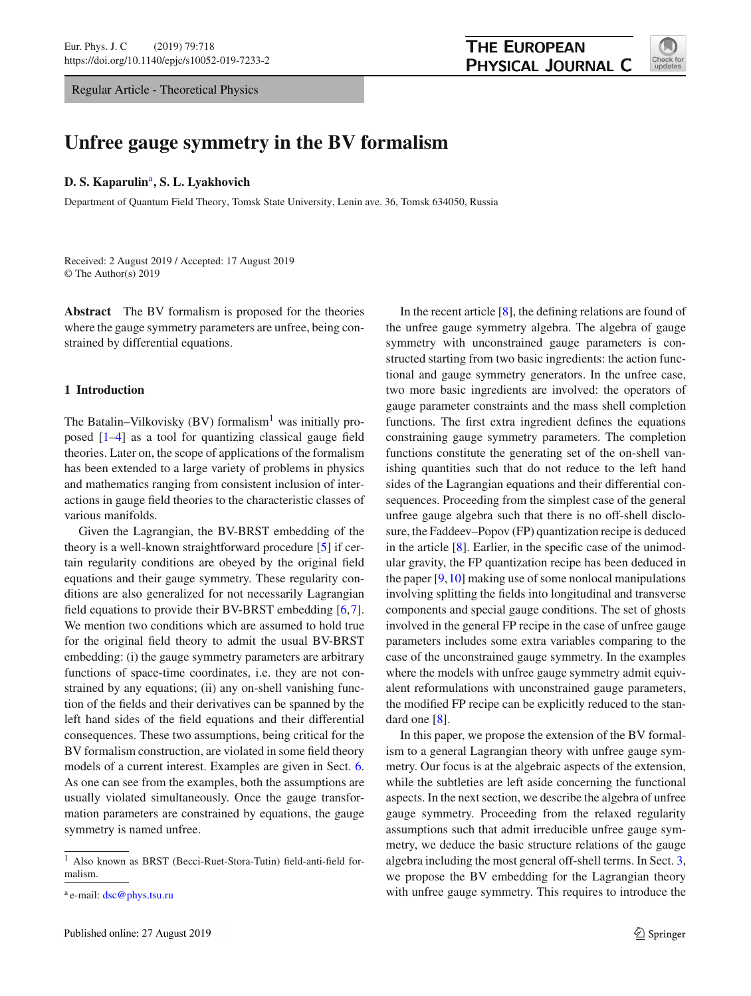Regular Article - Theoretical Physics



# **Unfree gauge symmetry in the BV formalism**

#### **D. S. Kaparulin**a**, S. L. Lyakhovich**

Department of Quantum Field Theory, Tomsk State University, Lenin ave. 36, Tomsk 634050, Russia

Received: 2 August 2019 / Accepted: 17 August 2019 © The Author(s) 2019

**Abstract** The BV formalism is proposed for the theories where the gauge symmetry parameters are unfree, being constrained by differential equations.

### **1 Introduction**

The Batalin–Vilkovisky (BV) formalism<sup>1</sup> was initially proposed [\[1](#page-17-0)[–4\]](#page-17-1) as a tool for quantizing classical gauge field theories. Later on, the scope of applications of the formalism has been extended to a large variety of problems in physics and mathematics ranging from consistent inclusion of interactions in gauge field theories to the characteristic classes of various manifolds.

Given the Lagrangian, the BV-BRST embedding of the theory is a well-known straightforward procedure [\[5](#page-17-2)] if certain regularity conditions are obeyed by the original field equations and their gauge symmetry. These regularity conditions are also generalized for not necessarily Lagrangian field equations to provide their BV-BRST embedding [\[6](#page-17-3)[,7](#page-17-4)]. We mention two conditions which are assumed to hold true for the original field theory to admit the usual BV-BRST embedding: (i) the gauge symmetry parameters are arbitrary functions of space-time coordinates, i.e. they are not constrained by any equations; (ii) any on-shell vanishing function of the fields and their derivatives can be spanned by the left hand sides of the field equations and their differential consequences. These two assumptions, being critical for the BV formalism construction, are violated in some field theory models of a current interest. Examples are given in Sect. [6.](#page-13-0) As one can see from the examples, both the assumptions are usually violated simultaneously. Once the gauge transformation parameters are constrained by equations, the gauge symmetry is named unfree.

In the recent article [\[8\]](#page-17-5), the defining relations are found of the unfree gauge symmetry algebra. The algebra of gauge symmetry with unconstrained gauge parameters is constructed starting from two basic ingredients: the action functional and gauge symmetry generators. In the unfree case, two more basic ingredients are involved: the operators of gauge parameter constraints and the mass shell completion functions. The first extra ingredient defines the equations constraining gauge symmetry parameters. The completion functions constitute the generating set of the on-shell vanishing quantities such that do not reduce to the left hand sides of the Lagrangian equations and their differential consequences. Proceeding from the simplest case of the general unfree gauge algebra such that there is no off-shell disclosure, the Faddeev–Popov (FP) quantization recipe is deduced in the article  $[8]$ . Earlier, in the specific case of the unimodular gravity, the FP quantization recipe has been deduced in the paper [\[9,](#page-17-6)[10\]](#page-17-7) making use of some nonlocal manipulations involving splitting the fields into longitudinal and transverse components and special gauge conditions. The set of ghosts involved in the general FP recipe in the case of unfree gauge parameters includes some extra variables comparing to the case of the unconstrained gauge symmetry. In the examples where the models with unfree gauge symmetry admit equivalent reformulations with unconstrained gauge parameters, the modified FP recipe can be explicitly reduced to the standard one [\[8\]](#page-17-5).

In this paper, we propose the extension of the BV formalism to a general Lagrangian theory with unfree gauge symmetry. Our focus is at the algebraic aspects of the extension, while the subtleties are left aside concerning the functional aspects. In the next section, we describe the algebra of unfree gauge symmetry. Proceeding from the relaxed regularity assumptions such that admit irreducible unfree gauge symmetry, we deduce the basic structure relations of the gauge algebra including the most general off-shell terms. In Sect. [3,](#page-5-0) we propose the BV embedding for the Lagrangian theory with unfree gauge symmetry. This requires to introduce the

<sup>1</sup> Also known as BRST (Becci-Ruet-Stora-Tutin) field-anti-field formalism.

<sup>a</sup> e-mail: [dsc@phys.tsu.ru](mailto:dsc@phys.tsu.ru)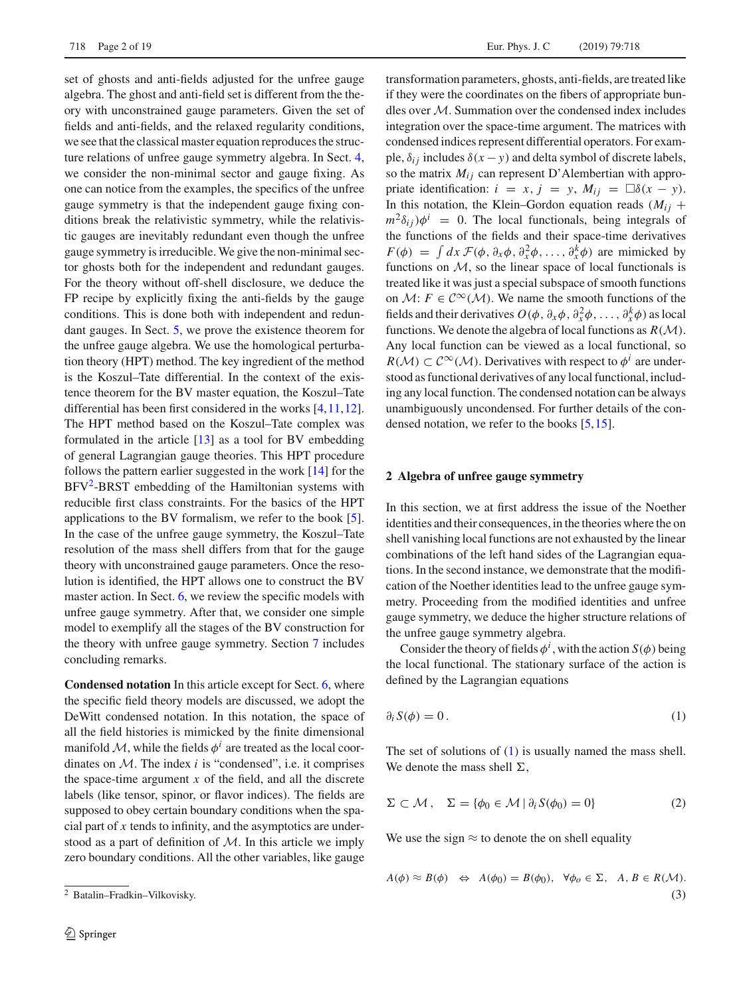set of ghosts and anti-fields adjusted for the unfree gauge algebra. The ghost and anti-field set is different from the theory with unconstrained gauge parameters. Given the set of fields and anti-fields, and the relaxed regularity conditions, we see that the classical master equation reproduces the structure relations of unfree gauge symmetry algebra. In Sect. [4,](#page-9-0) we consider the non-minimal sector and gauge fixing. As one can notice from the examples, the specifics of the unfree gauge symmetry is that the independent gauge fixing conditions break the relativistic symmetry, while the relativistic gauges are inevitably redundant even though the unfree gauge symmetry is irreducible. We give the non-minimal sector ghosts both for the independent and redundant gauges. For the theory without off-shell disclosure, we deduce the FP recipe by explicitly fixing the anti-fields by the gauge conditions. This is done both with independent and redundant gauges. In Sect. [5,](#page-11-0) we prove the existence theorem for the unfree gauge algebra. We use the homological perturbation theory (HPT) method. The key ingredient of the method is the Koszul–Tate differential. In the context of the existence theorem for the BV master equation, the Koszul–Tate differential has been first considered in the works [\[4](#page-17-1)[,11](#page-17-8)[,12](#page-17-9)]. The HPT method based on the Koszul–Tate complex was formulated in the article [\[13\]](#page-17-10) as a tool for BV embedding of general Lagrangian gauge theories. This HPT procedure follows the pattern earlier suggested in the work [\[14](#page-17-11)] for the  $BFV<sup>2</sup>$ -BRST embedding of the Hamiltonian systems with reducible first class constraints. For the basics of the HPT applications to the BV formalism, we refer to the book [\[5](#page-17-2)]. In the case of the unfree gauge symmetry, the Koszul–Tate resolution of the mass shell differs from that for the gauge theory with unconstrained gauge parameters. Once the resolution is identified, the HPT allows one to construct the BV master action. In Sect. [6,](#page-13-0) we review the specific models with unfree gauge symmetry. After that, we consider one simple model to exemplify all the stages of the BV construction for the theory with unfree gauge symmetry. Section [7](#page-16-0) includes concluding remarks.

**Condensed notation** In this article except for Sect. [6,](#page-13-0) where the specific field theory models are discussed, we adopt the DeWitt condensed notation. In this notation, the space of all the field histories is mimicked by the finite dimensional manifold  $M$ , while the fields  $\phi^i$  are treated as the local coordinates on  $M$ . The index  $i$  is "condensed", i.e. it comprises the space-time argument  $x$  of the field, and all the discrete labels (like tensor, spinor, or flavor indices). The fields are supposed to obey certain boundary conditions when the spacial part of *x* tends to infinity, and the asymptotics are understood as a part of definition of *M*. In this article we imply zero boundary conditions. All the other variables, like gauge

transformation parameters, ghosts, anti-fields, are treated like if they were the coordinates on the fibers of appropriate bundles over *M*. Summation over the condensed index includes integration over the space-time argument. The matrices with condensed indices represent differential operators. For example,  $\delta_{ij}$  includes  $\delta(x - y)$  and delta symbol of discrete labels, so the matrix  $M_{ij}$  can represent D'Alembertian with appropriate identification:  $i = x, j = y, M_{ij} = \Box \delta(x - y)$ . In this notation, the Klein–Gordon equation reads  $(M_{ii}$  +  $m^2\delta_{ii}$ ) $\phi^i$  = 0. The local functionals, being integrals of the functions of the fields and their space-time derivatives  $F(\phi) = \int dx \mathcal{F}(\phi, \partial_x \phi, \partial_x^2 \phi, \dots, \partial_x^k \phi)$  are mimicked by functions on *M*, so the linear space of local functionals is treated like it was just a special subspace of smooth functions on *M*:  $F \in C^{\infty}(\mathcal{M})$ . We name the smooth functions of the fields and their derivatives  $O(\phi, \partial_x \phi, \partial_x^2 \phi, \dots, \partial_x^k \phi)$  as local functions. We denote the algebra of local functions as *R*(*M*). Any local function can be viewed as a local functional, so  $R(\mathcal{M}) \subset C^{\infty}(\mathcal{M})$ . Derivatives with respect to  $\phi^{i}$  are understood as functional derivatives of any local functional, including any local function. The condensed notation can be always unambiguously uncondensed. For further details of the condensed notation, we refer to the books [\[5](#page-17-2)[,15](#page-17-12)].

#### <span id="page-1-3"></span>**2 Algebra of unfree gauge symmetry**

In this section, we at first address the issue of the Noether identities and their consequences, in the theories where the on shell vanishing local functions are not exhausted by the linear combinations of the left hand sides of the Lagrangian equations. In the second instance, we demonstrate that the modification of the Noether identities lead to the unfree gauge symmetry. Proceeding from the modified identities and unfree gauge symmetry, we deduce the higher structure relations of the unfree gauge symmetry algebra.

<span id="page-1-1"></span>Consider the theory of fields  $\phi^i$ , with the action *S*( $\phi$ ) being the local functional. The stationary surface of the action is defined by the Lagrangian equations

$$
\partial_i S(\phi) = 0. \tag{1}
$$

<span id="page-1-2"></span>The set of solutions of [\(1\)](#page-1-1) is usually named the mass shell. We denote the mass shell  $\Sigma$ ,

$$
\Sigma \subset \mathcal{M}, \quad \Sigma = \{ \phi_0 \in \mathcal{M} \mid \partial_i S(\phi_0) = 0 \}
$$
 (2)

We use the sign  $\approx$  to denote the on shell equality

$$
A(\phi) \approx B(\phi) \iff A(\phi_0) = B(\phi_0), \quad \forall \phi_0 \in \Sigma, \quad A, B \in R(\mathcal{M}).
$$
\n(3)

<span id="page-1-0"></span><sup>2</sup> Batalin–Fradkin–Vilkovisky.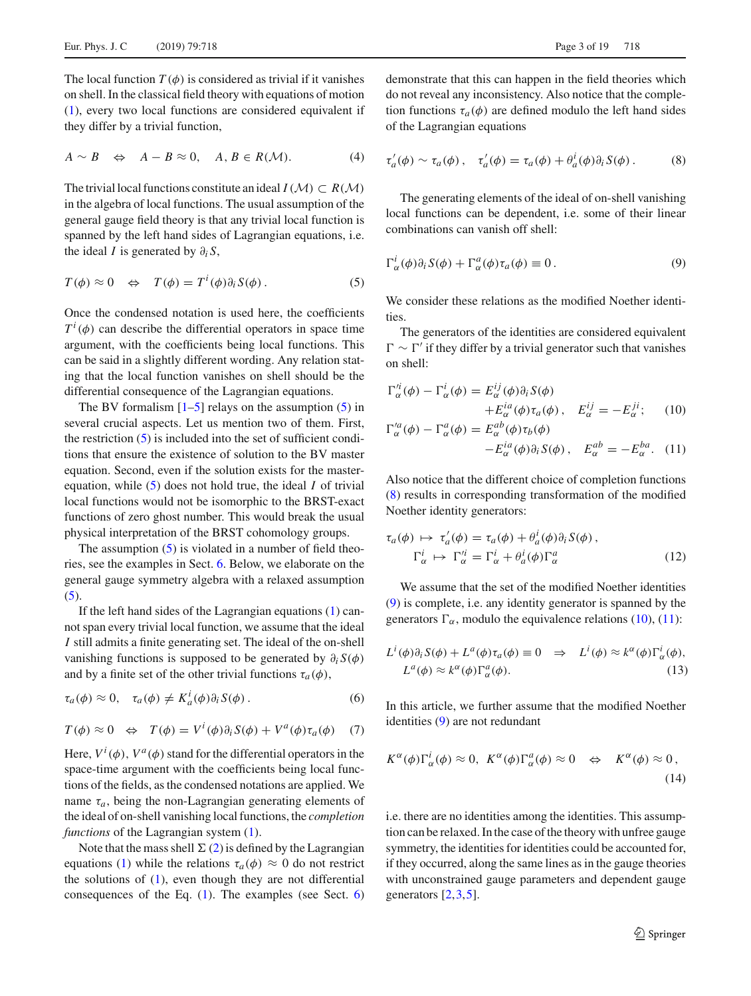<span id="page-2-8"></span>The local function  $T(\phi)$  is considered as trivial if it vanishes on shell. In the classical field theory with equations of motion [\(1\)](#page-1-1), every two local functions are considered equivalent if they differ by a trivial function,

$$
A \sim B \quad \Leftrightarrow \quad A - B \approx 0, \quad A, B \in R(\mathcal{M}). \tag{4}
$$

<span id="page-2-0"></span>The trivial local functions constitute an ideal  $I(\mathcal{M}) \subset R(\mathcal{M})$ in the algebra of local functions. The usual assumption of the general gauge field theory is that any trivial local function is spanned by the left hand sides of Lagrangian equations, i.e. the ideal *I* is generated by  $\partial_i S$ ,

$$
T(\phi) \approx 0 \quad \Leftrightarrow \quad T(\phi) = T^{i}(\phi)\partial_{i}S(\phi). \tag{5}
$$

Once the condensed notation is used here, the coefficients  $T^i(\phi)$  can describe the differential operators in space time argument, with the coefficients being local functions. This can be said in a slightly different wording. Any relation stating that the local function vanishes on shell should be the differential consequence of the Lagrangian equations.

The BV formalism  $[1–5]$  $[1–5]$  $[1–5]$  relays on the assumption  $(5)$  in several crucial aspects. Let us mention two of them. First, the restriction  $(5)$  is included into the set of sufficient conditions that ensure the existence of solution to the BV master equation. Second, even if the solution exists for the masterequation, while [\(5\)](#page-2-0) does not hold true, the ideal *I* of trivial local functions would not be isomorphic to the BRST-exact functions of zero ghost number. This would break the usual physical interpretation of the BRST cohomology groups.

The assumption  $(5)$  is violated in a number of field theories, see the examples in Sect. [6.](#page-13-0) Below, we elaborate on the general gauge symmetry algebra with a relaxed assumption  $(5).$  $(5).$ 

If the left hand sides of the Lagrangian equations [\(1\)](#page-1-1) cannot span every trivial local function, we assume that the ideal *I* still admits a finite generating set. The ideal of the on-shell vanishing functions is supposed to be generated by ∂*<sup>i</sup> S*(φ) and by a finite set of the other trivial functions  $\tau_a(\phi)$ ,

<span id="page-2-4"></span>
$$
\tau_a(\phi) \approx 0, \quad \tau_a(\phi) \neq K_a^i(\phi)\partial_i S(\phi).
$$
 (6)

<span id="page-2-7"></span>
$$
T(\phi) \approx 0 \quad \Leftrightarrow \quad T(\phi) = V^i(\phi)\partial_i S(\phi) + V^a(\phi)\tau_a(\phi) \quad (7)
$$

Here,  $V^i(\phi)$ ,  $V^a(\phi)$  stand for the differential operators in the space-time argument with the coefficients being local functions of the fields, as the condensed notations are applied. We name  $\tau_a$ , being the non-Lagrangian generating elements of the ideal of on-shell vanishing local functions, the *completion functions* of the Lagrangian system  $(1)$ .

Note that the mass shell  $\Sigma$  [\(2\)](#page-1-2) is defined by the Lagrangian equations [\(1\)](#page-1-1) while the relations  $\tau_a(\phi) \approx 0$  do not restrict the solutions of  $(1)$ , even though they are not differential consequences of the Eq.  $(1)$ . The examples (see Sect. [6\)](#page-13-0) <span id="page-2-1"></span>demonstrate that this can happen in the field theories which do not reveal any inconsistency. Also notice that the completion functions  $\tau_a(\phi)$  are defined modulo the left hand sides of the Lagrangian equations

$$
\tau'_a(\phi) \sim \tau_a(\phi), \quad \tau'_a(\phi) = \tau_a(\phi) + \theta_a^i(\phi)\partial_i S(\phi). \tag{8}
$$

<span id="page-2-2"></span>The generating elements of the ideal of on-shell vanishing local functions can be dependent, i.e. some of their linear combinations can vanish off shell:

$$
\Gamma_{\alpha}^{i}(\phi)\partial_{i}S(\phi) + \Gamma_{\alpha}^{a}(\phi)\tau_{a}(\phi) \equiv 0.
$$
\n(9)

We consider these relations as the modified Noether identities.

The generators of the identities are considered equivalent  $\Gamma \sim \Gamma'$  if they differ by a trivial generator such that vanishes on shell:

<span id="page-2-3"></span>
$$
\Gamma_{\alpha}^{i}(\phi) - \Gamma_{\alpha}^{i}(\phi) = E_{\alpha}^{ij}(\phi)\partial_{i}S(\phi)
$$
  
+
$$
E_{\alpha}^{i\alpha}(\phi)\tau_{\alpha}(\phi), \quad E_{\alpha}^{ij} = -E_{\alpha}^{ji}; \quad (10)
$$
  

$$
\Gamma_{\alpha}^{\prime\alpha}(\phi) - \Gamma_{\alpha}^{\alpha}(\phi) = E_{\alpha}^{ab}(\phi)\tau_{b}(\phi)
$$

$$
\begin{aligned} \n\zeta_{\alpha}^{\prime a}(\phi) - \Gamma_{\alpha}^{a}(\phi) &= E_{\alpha}^{ab}(\phi)\tau_{b}(\phi) \\ \n&- E_{\alpha}^{ia}(\phi)\partial_{i}S(\phi) \,, \quad E_{\alpha}^{ab} = -E_{\alpha}^{ba} . \quad (11) \n\end{aligned}
$$

Also notice that the different choice of completion functions [\(8\)](#page-2-1) results in corresponding transformation of the modified Noether identity generators:

$$
\tau_a(\phi) \mapsto \tau'_a(\phi) = \tau_a(\phi) + \theta_a^i(\phi)\partial_i S(\phi),
$$
  
\n
$$
\Gamma_\alpha^i \mapsto \Gamma_\alpha'^i = \Gamma_\alpha^i + \theta_a^i(\phi)\Gamma_\alpha^a
$$
 (12)

We assume that the set of the modified Noether identities [\(9\)](#page-2-2) is complete, i.e. any identity generator is spanned by the generators  $\Gamma_{\alpha}$ , modulo the equivalence relations [\(10\)](#page-2-3), [\(11\)](#page-2-3):

<span id="page-2-5"></span>
$$
L^{i}(\phi)\partial_{i}S(\phi) + L^{a}(\phi)\tau_{a}(\phi) \equiv 0 \quad \Rightarrow \quad L^{i}(\phi) \approx k^{\alpha}(\phi)\Gamma_{\alpha}^{i}(\phi),
$$
  

$$
L^{a}(\phi) \approx k^{\alpha}(\phi)\Gamma_{\alpha}^{a}(\phi).
$$
 (13)

<span id="page-2-6"></span>In this article, we further assume that the modified Noether identities [\(9\)](#page-2-2) are not redundant

$$
K^{\alpha}(\phi)\Gamma_{\alpha}^{i}(\phi) \approx 0, \ K^{\alpha}(\phi)\Gamma_{\alpha}^{a}(\phi) \approx 0 \quad \Leftrightarrow \quad K^{\alpha}(\phi) \approx 0,
$$
\n(14)

i.e. there are no identities among the identities. This assumption can be relaxed. In the case of the theory with unfree gauge symmetry, the identities for identities could be accounted for, if they occurred, along the same lines as in the gauge theories with unconstrained gauge parameters and dependent gauge generators [\[2](#page-17-13),[3,](#page-17-14)[5\]](#page-17-2).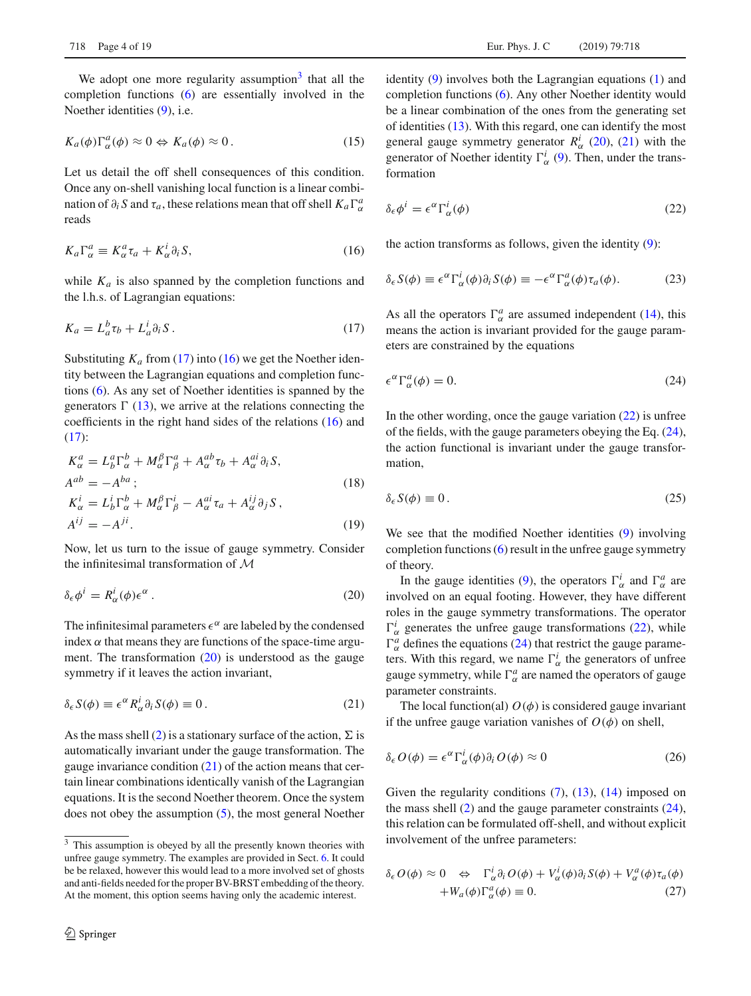<span id="page-3-8"></span>We adopt one more regularity assumption<sup>3</sup> that all the completion functions [\(6\)](#page-2-4) are essentially involved in the Noether identities [\(9\)](#page-2-2), i.e.

$$
K_a(\phi)\Gamma_\alpha^a(\phi) \approx 0 \Leftrightarrow K_a(\phi) \approx 0. \tag{15}
$$

<span id="page-3-2"></span>Let us detail the off shell consequences of this condition. Once any on-shell vanishing local function is a linear combination of  $\partial_i S$  and  $\tau_a$ , these relations mean that off shell  $K_a \Gamma^a_\alpha$ reads

$$
K_a \Gamma^a_\alpha \equiv K^a_\alpha \tau_a + K^i_\alpha \partial_i S, \tag{16}
$$

while  $K_a$  is also spanned by the completion functions and the l.h.s. of Lagrangian equations:

$$
K_a = L_a^b \tau_b + L_a^i \partial_i S. \tag{17}
$$

Substituting  $K_a$  from [\(17\)](#page-3-1) into [\(16\)](#page-3-2) we get the Noether identity between the Lagrangian equations and completion functions [\(6\)](#page-2-4). As any set of Noether identities is spanned by the generators  $\Gamma$  [\(13\)](#page-2-5), we arrive at the relations connecting the coefficients in the right hand sides of the relations [\(16\)](#page-3-2) and  $(17)$ :

<span id="page-3-9"></span>
$$
K_{\alpha}^{a} = L_{b}^{a} \Gamma_{\alpha}^{b} + M_{\alpha}^{\beta} \Gamma_{\beta}^{a} + A_{\alpha}^{ab} \tau_{b} + A_{\alpha}^{ai} \partial_{i} S,
$$
  
\n
$$
A^{ab} = -A^{ba};
$$
  
\n
$$
K_{\alpha}^{i} = L_{b}^{i} \Gamma_{\alpha}^{b} + M_{\alpha}^{\beta} \Gamma_{\beta}^{i} - A_{\alpha}^{ai} \tau_{a} + A_{\alpha}^{ij} \partial_{j} S,
$$
  
\n
$$
A^{ij} = -A^{ji}.
$$
  
\n(19)

Now, let us turn to the issue of gauge symmetry. Consider the infinitesimal transformation of *M*

$$
\delta_{\epsilon}\phi^i = R^i_{\alpha}(\phi)\epsilon^{\alpha} \,. \tag{20}
$$

The infinitesimal parameters  $\epsilon^{\alpha}$  are labeled by the condensed index  $\alpha$  that means they are functions of the space-time argument. The transformation [\(20\)](#page-3-3) is understood as the gauge symmetry if it leaves the action invariant,

$$
\delta_{\epsilon} S(\phi) \equiv \epsilon^{\alpha} R_{\alpha}^{i} \partial_{i} S(\phi) \equiv 0. \qquad (21)
$$

As the mass shell [\(2\)](#page-1-2) is a stationary surface of the action,  $\Sigma$  is automatically invariant under the gauge transformation. The gauge invariance condition  $(21)$  of the action means that certain linear combinations identically vanish of the Lagrangian equations. It is the second Noether theorem. Once the system does not obey the assumption [\(5\)](#page-2-0), the most general Noether identity [\(9\)](#page-2-2) involves both the Lagrangian equations [\(1\)](#page-1-1) and completion functions [\(6\)](#page-2-4). Any other Noether identity would be a linear combination of the ones from the generating set of identities [\(13\)](#page-2-5). With this regard, one can identify the most general gauge symmetry generator  $R^i_\alpha$  [\(20\)](#page-3-3), [\(21\)](#page-3-4) with the generator of Noether identity  $\Gamma^i_\alpha$  [\(9\)](#page-2-2). Then, under the transformation

<span id="page-3-5"></span>
$$
\delta_{\epsilon}\phi^{i} = \epsilon^{\alpha} \Gamma_{\alpha}^{i}(\phi)
$$
\n(22)

the action transforms as follows, given the identity [\(9\)](#page-2-2):

<span id="page-3-1"></span>
$$
\delta_{\epsilon} S(\phi) \equiv \epsilon^{\alpha} \Gamma_{\alpha}^{i}(\phi) \partial_{i} S(\phi) \equiv -\epsilon^{\alpha} \Gamma_{\alpha}^{a}(\phi) \tau_{a}(\phi). \tag{23}
$$

<span id="page-3-6"></span>As all the operators  $\Gamma^a_\alpha$  are assumed independent [\(14\)](#page-2-6), this means the action is invariant provided for the gauge parameters are constrained by the equations

$$
\epsilon^{\alpha} \Gamma_{\alpha}^{a}(\phi) = 0. \tag{24}
$$

In the other wording, once the gauge variation  $(22)$  is unfree of the fields, with the gauge parameters obeying the Eq. [\(24\)](#page-3-6), the action functional is invariant under the gauge transformation,

$$
\delta_{\epsilon} S(\phi) \equiv 0. \tag{25}
$$

<span id="page-3-3"></span>We see that the modified Noether identities [\(9\)](#page-2-2) involving completion functions [\(6\)](#page-2-4) result in the unfree gauge symmetry of theory.

In the gauge identities [\(9\)](#page-2-2), the operators  $\Gamma^i_\alpha$  and  $\Gamma^a_\alpha$  are involved on an equal footing. However, they have different roles in the gauge symmetry transformations. The operator  $\Gamma^i_\alpha$  generates the unfree gauge transformations [\(22\)](#page-3-5), while  $\Gamma^a_\alpha$  defines the equations [\(24\)](#page-3-6) that restrict the gauge parameters. With this regard, we name  $\Gamma^i_\alpha$  the generators of unfree gauge symmetry, while  $\Gamma^a_\alpha$  are named the operators of gauge parameter constraints.

<span id="page-3-10"></span><span id="page-3-4"></span>The local function(al)  $O(\phi)$  is considered gauge invariant if the unfree gauge variation vanishes of  $O(\phi)$  on shell,

$$
\delta_{\epsilon} O(\phi) = \epsilon^{\alpha} \Gamma_{\alpha}^{i}(\phi) \partial_{i} O(\phi) \approx 0 \tag{26}
$$

Given the regularity conditions [\(7\)](#page-2-7), [\(13\)](#page-2-5), [\(14\)](#page-2-6) imposed on the mass shell  $(2)$  and the gauge parameter constraints  $(24)$ , this relation can be formulated off-shell, and without explicit involvement of the unfree parameters:

<span id="page-3-7"></span>
$$
\delta_{\epsilon} O(\phi) \approx 0 \quad \Leftrightarrow \quad \Gamma_{\alpha}^{i} \partial_{i} O(\phi) + V_{\alpha}^{i}(\phi) \partial_{i} S(\phi) + V_{\alpha}^{a}(\phi) \tau_{a}(\phi) \n+ W_{a}(\phi) \Gamma_{\alpha}^{a}(\phi) \equiv 0.
$$
\n(27)

<span id="page-3-0"></span><sup>&</sup>lt;sup>3</sup> This assumption is obeyed by all the presently known theories with unfree gauge symmetry. The examples are provided in Sect. [6.](#page-13-0) It could be be relaxed, however this would lead to a more involved set of ghosts and anti-fields needed for the proper BV-BRST embedding of the theory. At the moment, this option seems having only the academic interest.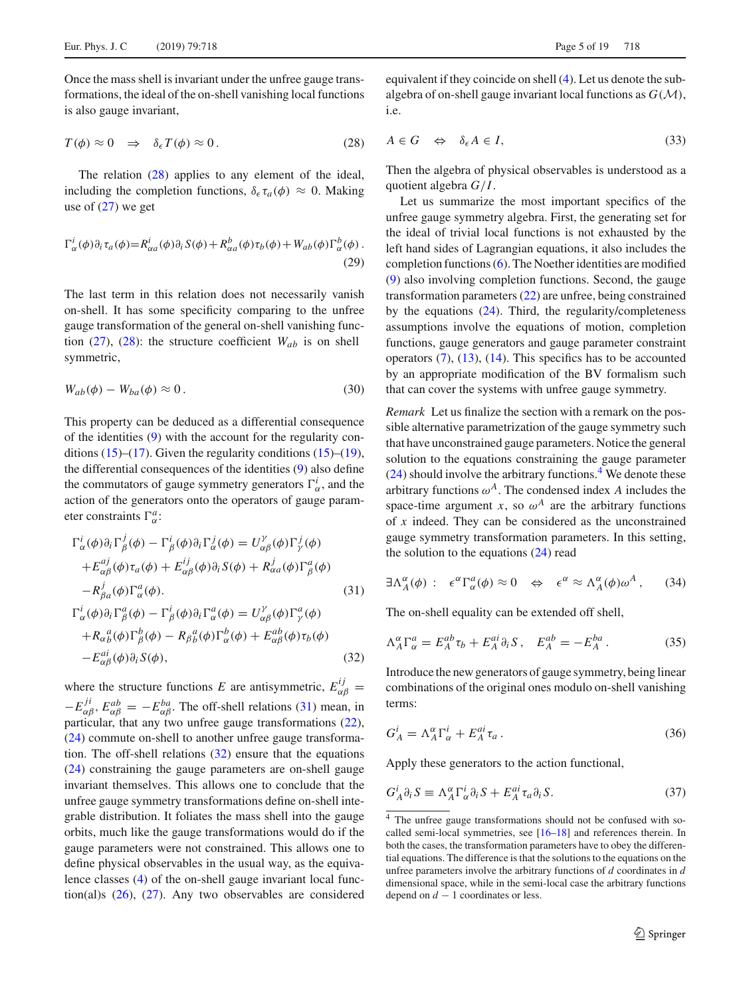<span id="page-4-0"></span>Once the mass shell is invariant under the unfree gauge transformations, the ideal of the on-shell vanishing local functions is also gauge invariant,

$$
T(\phi) \approx 0 \quad \Rightarrow \quad \delta_{\epsilon} T(\phi) \approx 0 \,. \tag{28}
$$

<span id="page-4-6"></span>The relation [\(28\)](#page-4-0) applies to any element of the ideal, including the completion functions,  $\delta_{\epsilon} \tau_a(\phi) \approx 0$ . Making use of  $(27)$  we get

$$
\Gamma_{\alpha}^{i}(\phi)\partial_{i}\tau_{a}(\phi) = R_{\alpha a}^{i}(\phi)\partial_{i}S(\phi) + R_{\alpha a}^{b}(\phi)\tau_{b}(\phi) + W_{ab}(\phi)\Gamma_{\alpha}^{b}(\phi).
$$
\n(29)

<span id="page-4-8"></span>The last term in this relation does not necessarily vanish on-shell. It has some specificity comparing to the unfree gauge transformation of the general on-shell vanishing function  $(27)$ ,  $(28)$ : the structure coefficient  $W_{ab}$  is on shell symmetric,

$$
W_{ab}(\phi) - W_{ba}(\phi) \approx 0.
$$
\n(30)

This property can be deduced as a differential consequence of the identities [\(9\)](#page-2-2) with the account for the regularity conditions  $(15)$ – $(17)$ . Given the regularity conditions  $(15)$ – $(19)$ , the differential consequences of the identities [\(9\)](#page-2-2) also define the commutators of gauge symmetry generators  $\Gamma^i_{\alpha}$ , and the action of the generators onto the operators of gauge parameter constraints  $\Gamma^a_{\alpha}$ :

<span id="page-4-1"></span>
$$
\Gamma_{\alpha}^{i}(\phi)\partial_{i}\Gamma_{\beta}^{j}(\phi) - \Gamma_{\beta}^{i}(\phi)\partial_{i}\Gamma_{\alpha}^{j}(\phi) = U_{\alpha\beta}^{\gamma}(\phi)\Gamma_{\gamma}^{j}(\phi) \n+ E_{\alpha\beta}^{aj}(\phi)\tau_{a}(\phi) + E_{\alpha\beta}^{ij}(\phi)\partial_{i}S(\phi) + R_{\alpha a}^{j}(\phi)\Gamma_{\beta}^{a}(\phi) \n- R_{\beta a}^{j}(\phi)\Gamma_{\alpha}^{a}(\phi).
$$
\n(31)\n
$$
\Gamma_{\alpha}^{i}(\phi)\partial_{i}\Gamma_{\beta}^{a}(\phi) - \Gamma_{\beta}^{i}(\phi)\partial_{i}\Gamma_{\alpha}^{a}(\phi) = U_{\alpha\beta}^{\gamma}(\phi)\Gamma_{\gamma}^{a}(\phi) \n+ R_{\alpha b}^{a}(\phi)\Gamma_{\beta}^{b}(\phi) - R_{\beta b}^{a}(\phi)\Gamma_{\alpha}^{b}(\phi) + E_{\alpha\beta}^{ab}(\phi)\tau_{b}(\phi)
$$

$$
-E_{\alpha\beta}^{ai}(\phi)\partial_i S(\phi), \tag{32}
$$

where the structure functions *E* are antisymmetric,  $E_{\alpha\beta}^{ij}$  =  $-E_{\alpha\beta}^{ji}$ ,  $E_{\alpha\beta}^{ab} = -E_{\alpha\beta}^{ba}$ . The off-shell relations [\(31\)](#page-4-1) mean, in particular, that any two unfree gauge transformations [\(22\)](#page-3-5), [\(24\)](#page-3-6) commute on-shell to another unfree gauge transformation. The off-shell relations [\(32\)](#page-4-1) ensure that the equations [\(24\)](#page-3-6) constraining the gauge parameters are on-shell gauge invariant themselves. This allows one to conclude that the unfree gauge symmetry transformations define on-shell integrable distribution. It foliates the mass shell into the gauge orbits, much like the gauge transformations would do if the gauge parameters were not constrained. This allows one to define physical observables in the usual way, as the equivalence classes [\(4\)](#page-2-8) of the on-shell gauge invariant local function(al)s [\(26\)](#page-3-10), [\(27\)](#page-3-7). Any two observables are considered <span id="page-4-7"></span>equivalent if they coincide on shell [\(4\)](#page-2-8). Let us denote the subalgebra of on-shell gauge invariant local functions as *G*(*M*), i.e.

$$
A \in G \quad \Leftrightarrow \quad \delta_{\epsilon} A \in I,\tag{33}
$$

Then the algebra of physical observables is understood as a quotient algebra *G*/*I*.

Let us summarize the most important specifics of the unfree gauge symmetry algebra. First, the generating set for the ideal of trivial local functions is not exhausted by the left hand sides of Lagrangian equations, it also includes the completion functions [\(6\)](#page-2-4). The Noether identities are modified [\(9\)](#page-2-2) also involving completion functions. Second, the gauge transformation parameters [\(22\)](#page-3-5) are unfree, being constrained by the equations  $(24)$ . Third, the regularity/completeness assumptions involve the equations of motion, completion functions, gauge generators and gauge parameter constraint operators  $(7)$ ,  $(13)$ ,  $(14)$ . This specifics has to be accounted by an appropriate modification of the BV formalism such that can cover the systems with unfree gauge symmetry.

*Remark* Let us finalize the section with a remark on the possible alternative parametrization of the gauge symmetry such that have unconstrained gauge parameters. Notice the general solution to the equations constraining the gauge parameter  $(24)$  should involve the arbitrary functions.<sup>[4](#page-4-2)</sup> We denote these arbitrary functions  $\omega^A$ . The condensed index *A* includes the space-time argument *x*, so  $\omega^A$  are the arbitrary functions of *x* indeed. They can be considered as the unconstrained gauge symmetry transformation parameters. In this setting, the solution to the equations  $(24)$  read

<span id="page-4-4"></span>
$$
\exists \Lambda_A^{\alpha}(\phi) : \epsilon^{\alpha} \Gamma_{\alpha}^a(\phi) \approx 0 \quad \Leftrightarrow \quad \epsilon^{\alpha} \approx \Lambda_A^{\alpha}(\phi) \omega^A , \qquad (34)
$$

The on-shell equality can be extended off shell,

$$
\Lambda_A^{\alpha} \Gamma_{\alpha}^a = E_A^{ab} \tau_b + E_A^{ai} \partial_i S \,, \quad E_A^{ab} = -E_A^{ba} \,. \tag{35}
$$

<span id="page-4-5"></span>Introduce the new generators of gauge symmetry, being linear combinations of the original ones modulo on-shell vanishing terms:

<span id="page-4-3"></span>
$$
G_A^i = \Lambda_A^{\alpha} \Gamma_{\alpha}^i + E_A^{ai} \tau_a \,. \tag{36}
$$

Apply these generators to the action functional,

$$
G_A^i \partial_i S \equiv \Lambda_A^{\alpha} \Gamma_{\alpha}^i \partial_i S + E_A^{ai} \tau_a \partial_i S. \tag{37}
$$

<span id="page-4-2"></span><sup>&</sup>lt;sup>4</sup> The unfree gauge transformations should not be confused with socalled semi-local symmetries, see [\[16](#page-17-15)[–18\]](#page-18-0) and references therein. In both the cases, the transformation parameters have to obey the differential equations. The difference is that the solutions to the equations on the unfree parameters involve the arbitrary functions of *d* coordinates in *d* dimensional space, while in the semi-local case the arbitrary functions depend on  $d - 1$  coordinates or less.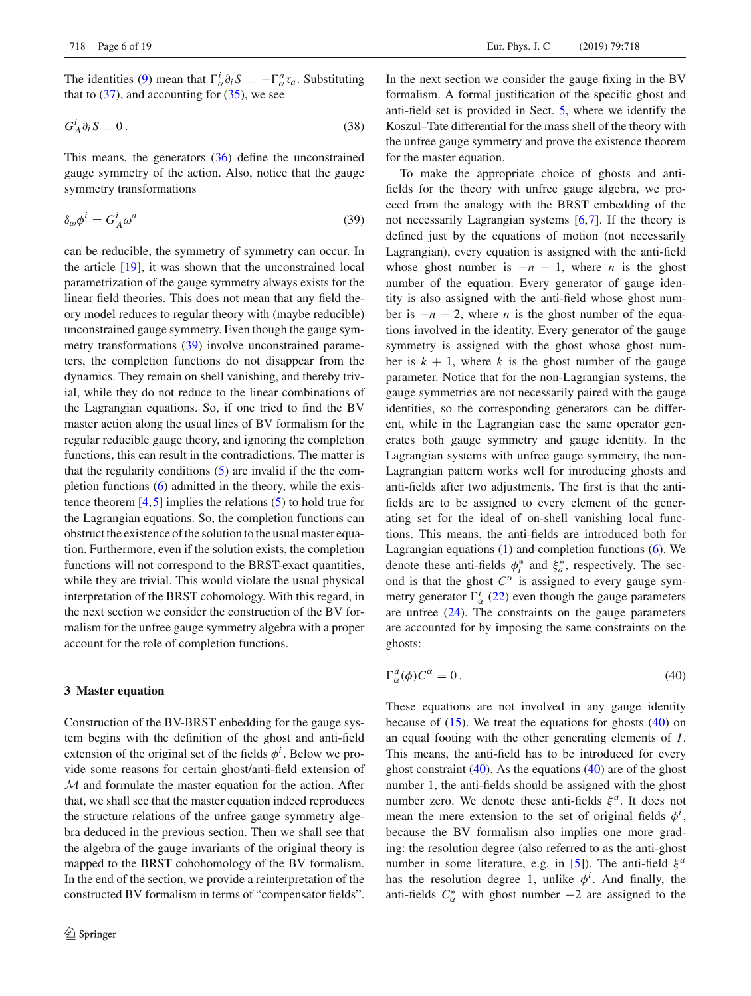The identities [\(9\)](#page-2-2) mean that  $\Gamma^i_\alpha \partial_i S \equiv -\Gamma^a_\alpha \tau_a$ . Substituting that to  $(37)$ , and accounting for  $(35)$ , we see

$$
G_A^i \partial_i S \equiv 0. \tag{38}
$$

<span id="page-5-1"></span>This means, the generators [\(36\)](#page-4-5) define the unconstrained gauge symmetry of the action. Also, notice that the gauge symmetry transformations

$$
\delta_{\omega}\phi^i = G_A^i \omega^a \tag{39}
$$

can be reducible, the symmetry of symmetry can occur. In the article [\[19\]](#page-18-1), it was shown that the unconstrained local parametrization of the gauge symmetry always exists for the linear field theories. This does not mean that any field theory model reduces to regular theory with (maybe reducible) unconstrained gauge symmetry. Even though the gauge symmetry transformations [\(39\)](#page-5-1) involve unconstrained parameters, the completion functions do not disappear from the dynamics. They remain on shell vanishing, and thereby trivial, while they do not reduce to the linear combinations of the Lagrangian equations. So, if one tried to find the BV master action along the usual lines of BV formalism for the regular reducible gauge theory, and ignoring the completion functions, this can result in the contradictions. The matter is that the regularity conditions  $(5)$  are invalid if the the completion functions [\(6\)](#page-2-4) admitted in the theory, while the existence theorem  $[4,5]$  $[4,5]$  $[4,5]$  implies the relations  $(5)$  to hold true for the Lagrangian equations. So, the completion functions can obstruct the existence of the solution to the usual master equation. Furthermore, even if the solution exists, the completion functions will not correspond to the BRST-exact quantities, while they are trivial. This would violate the usual physical interpretation of the BRST cohomology. With this regard, in the next section we consider the construction of the BV formalism for the unfree gauge symmetry algebra with a proper account for the role of completion functions.

#### <span id="page-5-0"></span>**3 Master equation**

Construction of the BV-BRST enbedding for the gauge system begins with the definition of the ghost and anti-field extension of the original set of the fields  $\phi^i$ . Below we provide some reasons for certain ghost/anti-field extension of *M* and formulate the master equation for the action. After that, we shall see that the master equation indeed reproduces the structure relations of the unfree gauge symmetry algebra deduced in the previous section. Then we shall see that the algebra of the gauge invariants of the original theory is mapped to the BRST cohohomology of the BV formalism. In the end of the section, we provide a reinterpretation of the constructed BV formalism in terms of "compensator fields".

In the next section we consider the gauge fixing in the BV formalism. A formal justification of the specific ghost and anti-field set is provided in Sect. [5,](#page-11-0) where we identify the Koszul–Tate differential for the mass shell of the theory with the unfree gauge symmetry and prove the existence theorem for the master equation.

To make the appropriate choice of ghosts and antifields for the theory with unfree gauge algebra, we proceed from the analogy with the BRST embedding of the not necessarily Lagrangian systems [\[6](#page-17-3)[,7](#page-17-4)]. If the theory is defined just by the equations of motion (not necessarily Lagrangian), every equation is assigned with the anti-field whose ghost number is  $-n-1$ , where *n* is the ghost number of the equation. Every generator of gauge identity is also assigned with the anti-field whose ghost number is  $-n-2$ , where *n* is the ghost number of the equations involved in the identity. Every generator of the gauge symmetry is assigned with the ghost whose ghost number is  $k + 1$ , where k is the ghost number of the gauge parameter. Notice that for the non-Lagrangian systems, the gauge symmetries are not necessarily paired with the gauge identities, so the corresponding generators can be different, while in the Lagrangian case the same operator generates both gauge symmetry and gauge identity. In the Lagrangian systems with unfree gauge symmetry, the non-Lagrangian pattern works well for introducing ghosts and anti-fields after two adjustments. The first is that the antifields are to be assigned to every element of the generating set for the ideal of on-shell vanishing local functions. This means, the anti-fields are introduced both for Lagrangian equations  $(1)$  and completion functions  $(6)$ . We denote these anti-fields  $\phi_i^*$  and  $\xi_a^*$ , respectively. The second is that the ghost  $C^{\alpha}$  is assigned to every gauge symmetry generator  $\Gamma^i_{\alpha}$  [\(22\)](#page-3-5) even though the gauge parameters are unfree  $(24)$ . The constraints on the gauge parameters are accounted for by imposing the same constraints on the ghosts:

<span id="page-5-2"></span>
$$
\Gamma^a_\alpha(\phi) C^\alpha = 0. \tag{40}
$$

These equations are not involved in any gauge identity because of  $(15)$ . We treat the equations for ghosts  $(40)$  on an equal footing with the other generating elements of *I*. This means, the anti-field has to be introduced for every ghost constraint  $(40)$ . As the equations  $(40)$  are of the ghost number 1, the anti-fields should be assigned with the ghost number zero. We denote these anti-fields  $\xi^a$ . It does not mean the mere extension to the set of original fields  $\phi^i$ , because the BV formalism also implies one more grading: the resolution degree (also referred to as the anti-ghost number in some literature, e.g. in [\[5\]](#page-17-2)). The anti-field ξ<sup>*a*</sup> has the resolution degree 1, unlike  $\phi^i$ . And finally, the anti-fields  $C^*_{\alpha}$  with ghost number  $-2$  are assigned to the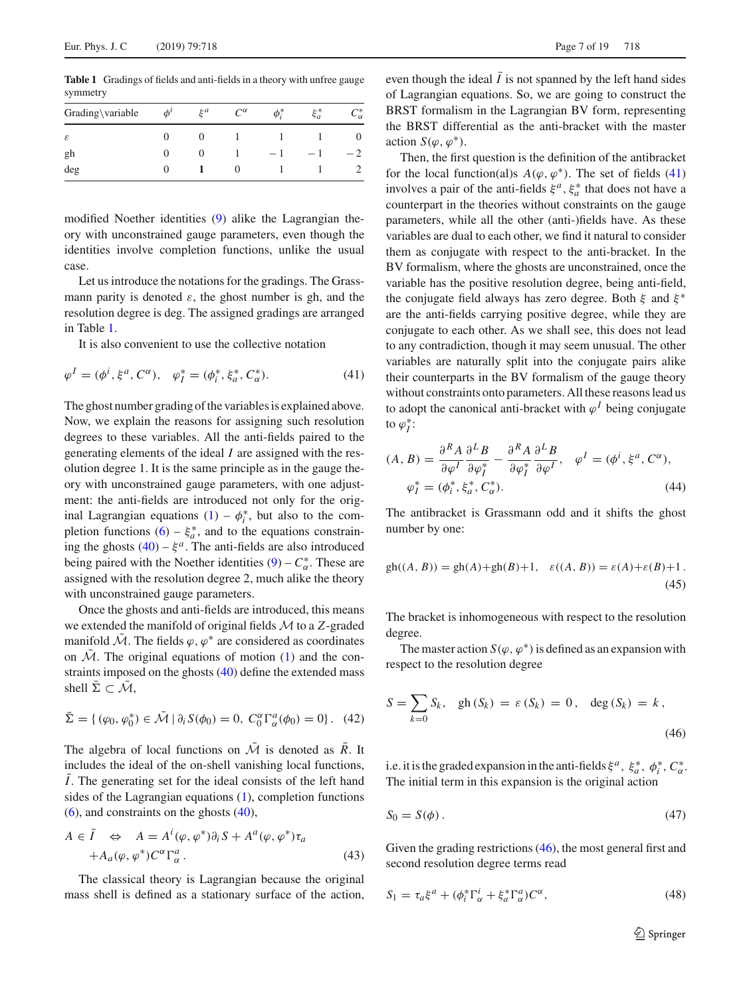<span id="page-6-0"></span>**Table 1** Gradings of fields and anti-fields in a theory with unfree gauge symmetry

| $\phi^{\prime}$ | $\xi^a$ | $C^{\alpha}$ | $\phi_i^*$ | $\xi_a^*$ | ⊸∗<br>$\mathcal{L}_{\alpha}$ |  |
|-----------------|---------|--------------|------------|-----------|------------------------------|--|
|                 |         |              |            |           |                              |  |
|                 |         |              |            |           |                              |  |
|                 |         |              |            |           |                              |  |
|                 |         |              |            |           |                              |  |

modified Noether identities [\(9\)](#page-2-2) alike the Lagrangian theory with unconstrained gauge parameters, even though the identities involve completion functions, unlike the usual case.

Let us introduce the notations for the gradings. The Grassmann parity is denoted  $\varepsilon$ , the ghost number is gh, and the resolution degree is deg. The assigned gradings are arranged in Table [1.](#page-6-0)

It is also convenient to use the collective notation

$$
\varphi^{I} = (\phi^{i}, \xi^{a}, C^{\alpha}), \quad \varphi_{I}^{*} = (\phi_{i}^{*}, \xi_{a}^{*}, C_{\alpha}^{*}). \tag{41}
$$

The ghost number grading of the variables is explained above. Now, we explain the reasons for assigning such resolution degrees to these variables. All the anti-fields paired to the generating elements of the ideal *I* are assigned with the resolution degree 1. It is the same principle as in the gauge theory with unconstrained gauge parameters, with one adjustment: the anti-fields are introduced not only for the original Lagrangian equations  $(1) - \phi_i^*$  $(1) - \phi_i^*$ , but also to the completion functions  $(6) - \xi_a^*$  $(6) - \xi_a^*$ , and to the equations constraining the ghosts  $(40) - \xi^a$  $(40) - \xi^a$ . The anti-fields are also introduced being paired with the Noether identities  $(9) - C^*_{\alpha}$  $(9) - C^*_{\alpha}$ . These are assigned with the resolution degree 2, much alike the theory with unconstrained gauge parameters.

Once the ghosts and anti-fields are introduced, this means we extended the manifold of original fields *M*to a *Z*-graded manifold *M*. The fields  $\varphi$ ,  $\varphi^*$  are considered as coordinates on  $M$ . The original equations of motion [\(1\)](#page-1-1) and the constraints imposed on the ghosts [\(40\)](#page-5-2) define the extended mass shell  $\Sigma \subset \overline{\mathcal{M}}$ ,

$$
\bar{\Sigma} = \{ (\varphi_0, \varphi_0^*) \in \bar{\mathcal{M}} \mid \partial_i S(\phi_0) = 0, C_0^{\alpha} \Gamma_{\alpha}^a(\phi_0) = 0 \}.
$$
 (42)

The algebra of local functions on  $\overline{\mathcal{M}}$  is denoted as  $\overline{R}$ . It includes the ideal of the on-shell vanishing local functions, ¯*I*. The generating set for the ideal consists of the left hand sides of the Lagrangian equations [\(1\)](#page-1-1), completion functions  $(6)$ , and constraints on the ghosts  $(40)$ ,

<span id="page-6-6"></span>
$$
A \in \overline{I} \iff A = A^{i}(\varphi, \varphi^{*})\partial_{i}S + A^{a}(\varphi, \varphi^{*})\tau_{a}
$$
  
+
$$
A_{a}(\varphi, \varphi^{*})C^{\alpha}\Gamma_{\alpha}^{a}.
$$
 (43)

The classical theory is Lagrangian because the original mass shell is defined as a stationary surface of the action,

even though the ideal  $\bar{I}$  is not spanned by the left hand sides of Lagrangian equations. So, we are going to construct the BRST formalism in the Lagrangian BV form, representing the BRST differential as the anti-bracket with the master action  $S(\varphi, \varphi^*)$ .

Then, the first question is the definition of the antibracket for the local function(al)s  $A(\varphi, \varphi^*)$ . The set of fields [\(41\)](#page-6-1) involves a pair of the anti-fields  $\xi^a$ ,  $\xi^*_a$  that does not have a counterpart in the theories without constraints on the gauge parameters, while all the other (anti-)fields have. As these variables are dual to each other, we find it natural to consider them as conjugate with respect to the anti-bracket. In the BV formalism, where the ghosts are unconstrained, once the variable has the positive resolution degree, being anti-field, the conjugate field always has zero degree. Both  $\xi$  and  $\xi^*$ are the anti-fields carrying positive degree, while they are conjugate to each other. As we shall see, this does not lead to any contradiction, though it may seem unusual. The other variables are naturally split into the conjugate pairs alike their counterparts in the BV formalism of the gauge theory without constraints onto parameters. All these reasons lead us to adopt the canonical anti-bracket with  $\varphi^I$  being conjugate to  $\varphi_I^*$ :

<span id="page-6-5"></span><span id="page-6-1"></span>
$$
(A, B) = \frac{\partial^R A}{\partial \varphi^I} \frac{\partial^L B}{\partial \varphi_I^*} - \frac{\partial^R A}{\partial \varphi_I^*} \frac{\partial^L B}{\partial \varphi^I}, \quad \varphi^I = (\phi^i, \xi^a, C^\alpha),
$$
  

$$
\varphi_I^* = (\phi_i^*, \xi_a^*, C_\alpha^*).
$$
 (44)

The antibracket is Grassmann odd and it shifts the ghost number by one:

$$
gh((A, B)) = gh(A) + gh(B) + 1, \quad \varepsilon((A, B)) = \varepsilon(A) + \varepsilon(B) + 1.
$$
\n(45)

The bracket is inhomogeneous with respect to the resolution degree.

<span id="page-6-2"></span>The master action  $S(\varphi, \varphi^*)$  is defined as an expansion with respect to the resolution degree

$$
S = \sum_{k=0} S_k, \quad gh(S_k) = \varepsilon(S_k) = 0, \quad \deg(S_k) = k,
$$
\n(46)

<span id="page-6-3"></span>i.e. it is the graded expansion in the anti-fields  $\xi^a$ ,  $\xi^*_a$ ,  $\phi^*_i$ ,  $C^*_\alpha$ . The initial term in this expansion is the original action

$$
S_0 = S(\phi). \tag{47}
$$

Given the grading restrictions [\(46\)](#page-6-2), the most general first and second resolution degree terms read

<span id="page-6-4"></span>
$$
S_1 = \tau_a \xi^a + (\phi_i^* \Gamma_\alpha^i + \xi_a^* \Gamma_\alpha^a) C^\alpha, \tag{48}
$$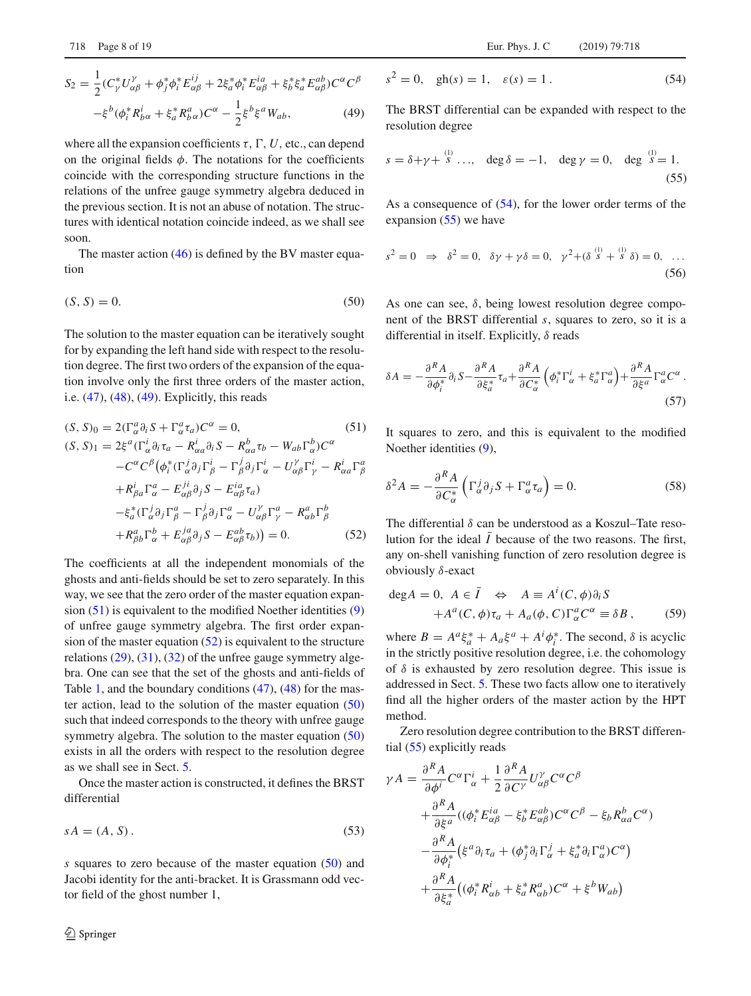$$
S_2 = \frac{1}{2} (C_{\gamma}^* U_{\alpha\beta}^{\gamma} + \phi_j^* \phi_i^* E_{\alpha\beta}^{ij} + 2\xi_a^* \phi_i^* E_{\alpha\beta}^{ia} + \xi_b^* \xi_a^* E_{\alpha\beta}^{ab}) C^{\alpha} C^{\beta}
$$

$$
-\xi^b (\phi_i^* R_{b\alpha}^i + \xi_a^* R_{b\alpha}^a) C^{\alpha} - \frac{1}{2} \xi^b \xi^a W_{ab}, \tag{49}
$$

where all the expansion coefficients  $\tau$ ,  $\Gamma$ ,  $U$ , etc., can depend on the original fields  $\phi$ . The notations for the coefficients coincide with the corresponding structure functions in the relations of the unfree gauge symmetry algebra deduced in the previous section. It is not an abuse of notation. The structures with identical notation coincide indeed, as we shall see soon.

<span id="page-7-1"></span>The master action  $(46)$  is defined by the BV master equation

$$
(S, S) = 0.\t\t(50)
$$

The solution to the master equation can be iteratively sought for by expanding the left hand side with respect to the resolution degree. The first two orders of the expansion of the equation involve only the first three orders of the master action, i.e. [\(47\)](#page-6-3), [\(48\)](#page-6-4), [\(49\)](#page-6-4). Explicitly, this reads

<span id="page-7-0"></span>
$$
(S, S)0 = 2(\Gamma_{\alpha}^{a} \partial_{i} S + \Gamma_{\alpha}^{a} \tau_{a})C^{\alpha} = 0,
$$
\n
$$
(S, S)1 = 2\xi^{a}(\Gamma_{\alpha}^{i} \partial_{i} \tau_{a} - R_{\alpha a}^{i} \partial_{i} S - R_{\alpha a}^{b} \tau_{b} - W_{ab} \Gamma_{\alpha}^{b})C^{\alpha}
$$
\n
$$
-C^{\alpha}C^{\beta}(\phi_{i}^{*}(\Gamma_{\alpha}^{j} \partial_{j}\Gamma_{\beta}^{i} - \Gamma_{\beta}^{j} \partial_{j}\Gamma_{\alpha}^{i} - U_{\alpha\beta}^{y} \Gamma_{\gamma}^{i} - R_{\alpha a}^{i} \Gamma_{\beta}^{a}
$$
\n
$$
+ R_{\beta a}^{i} \Gamma_{\alpha}^{a} - E_{\alpha \beta}^{j i} \partial_{j} S - E_{\alpha \beta}^{i} \tau_{a})
$$
\n
$$
- \xi_{a}^{*}(\Gamma_{\alpha}^{j} \partial_{j}\Gamma_{\beta}^{a} - \Gamma_{\beta}^{j} \partial_{j}\Gamma_{\alpha}^{a} - U_{\alpha \beta}^{y} \Gamma_{\gamma}^{a} - R_{\alpha b}^{a} \Gamma_{\beta}^{b}
$$
\n
$$
+ R_{\beta b}^{a} \Gamma_{\alpha}^{b} + E_{\alpha \beta}^{j a} \partial_{j} S - E_{\alpha \beta}^{ab} \tau_{b}) = 0.
$$
\n
$$
(52)
$$

The coefficients at all the independent monomials of the ghosts and anti-fields should be set to zero separately. In this way, we see that the zero order of the master equation expansion  $(51)$  is equivalent to the modified Noether identities  $(9)$ of unfree gauge symmetry algebra. The first order expansion of the master equation  $(52)$  is equivalent to the structure relations [\(29\)](#page-4-6), [\(31\)](#page-4-1), [\(32\)](#page-4-1) of the unfree gauge symmetry algebra. One can see that the set of the ghosts and anti-fields of Table [1,](#page-6-0) and the boundary conditions [\(47\)](#page-6-3), [\(48\)](#page-6-4) for the master action, lead to the solution of the master equation  $(50)$ such that indeed corresponds to the theory with unfree gauge symmetry algebra. The solution to the master equation [\(50\)](#page-7-1) exists in all the orders with respect to the resolution degree as we shall see in Sect. [5.](#page-11-0)

<span id="page-7-4"></span>Once the master action is constructed, it defines the BRST differential

$$
sA = (A, S). \tag{53}
$$

<span id="page-7-2"></span>*s* squares to zero because of the master equation [\(50\)](#page-7-1) and Jacobi identity for the anti-bracket. It is Grassmann odd vector field of the ghost number 1,

$$
s^2 = 0, \quad gh(s) = 1, \quad \varepsilon(s) = 1.
$$
 (54)

The BRST differential can be expanded with respect to the resolution degree

<span id="page-7-3"></span>
$$
s = \delta + \gamma + \stackrel{(1)}{s} \dots, \quad \deg \delta = -1, \quad \deg \gamma = 0, \quad \deg \stackrel{(1)}{s} = 1.
$$
 (55)

<span id="page-7-6"></span>As a consequence of [\(54\)](#page-7-2), for the lower order terms of the expansion [\(55\)](#page-7-3) we have

$$
s^{2} = 0 \Rightarrow \delta^{2} = 0, \ \delta\gamma + \gamma\delta = 0, \ \gamma^{2} + (\delta^{(1)}_{s} + \delta^{(1)}_{s}) = 0, \ \dots
$$
\n(56)

<span id="page-7-5"></span>As one can see,  $\delta$ , being lowest resolution degree component of the BRST differential *s*, squares to zero, so it is a differential in itself. Explicitly,  $\delta$  reads

$$
\delta A = -\frac{\partial^R A}{\partial \phi_i^*} \partial_i S - \frac{\partial^R A}{\partial \xi_a^*} \tau_a + \frac{\partial^R A}{\partial C_{\alpha}^*} \left( \phi_i^* \Gamma_\alpha^i + \xi_a^* \Gamma_\alpha^a \right) + \frac{\partial^R A}{\partial \xi^a} \Gamma_\alpha^a C^\alpha \,. \tag{57}
$$

It squares to zero, and this is equivalent to the modified Noether identities [\(9\)](#page-2-2),

$$
\delta^2 A = -\frac{\partial^R A}{\partial C^*_{\alpha}} \left( \Gamma^j_{\alpha} \partial_j S + \Gamma^a_{\alpha} \tau_a \right) = 0. \tag{58}
$$

The differential  $\delta$  can be understood as a Koszul–Tate resolution for the ideal  $\bar{I}$  because of the two reasons. The first, any on-shell vanishing function of zero resolution degree is obviously δ-exact

$$
deg A = 0, A \in \overline{I} \Leftrightarrow A \equiv A^{i}(C, \phi)\partial_{i}S
$$
  
+  $A^{a}(C, \phi)\tau_{a} + A_{a}(\phi, C)\Gamma_{\alpha}^{a}C^{\alpha} \equiv \delta B,$  (59)

where  $B = A^a \xi_a^* + A_a \xi^a + A^i \phi_i^*$ . The second,  $\delta$  is acyclic in the strictly positive resolution degree, i.e. the cohomology of  $\delta$  is exhausted by zero resolution degree. This issue is addressed in Sect. [5.](#page-11-0) These two facts allow one to iteratively find all the higher orders of the master action by the HPT method.

Zero resolution degree contribution to the BRST differential [\(55\)](#page-7-3) explicitly reads

$$
\gamma A = \frac{\partial^R A}{\partial \phi^i} C^{\alpha} \Gamma^i_{\alpha} + \frac{1}{2} \frac{\partial^R A}{\partial C^{\gamma}} U^{\gamma}_{\alpha \beta} C^{\alpha} C^{\beta}
$$
  
+ 
$$
\frac{\partial^R A}{\partial \xi^a} ((\phi_i^* E^{ia}_{\alpha \beta} - \xi_b^* E^{ab}_{\alpha \beta}) C^{\alpha} C^{\beta} - \xi_b R^b_{\alpha a} C^{\alpha})
$$
  
- 
$$
\frac{\partial^R A}{\partial \phi_i^*} (\xi^a \partial_i \tau_a + (\phi_j^* \partial_i \Gamma^j_{\alpha} + \xi_a^* \partial_i \Gamma^a_{\alpha}) C^{\alpha})
$$
  
+ 
$$
\frac{\partial^R A}{\partial \xi_a^*} ((\phi_i^* R^i_{\alpha b} + \xi_a^* R^a_{\alpha b}) C^{\alpha} + \xi^b W_{ab})
$$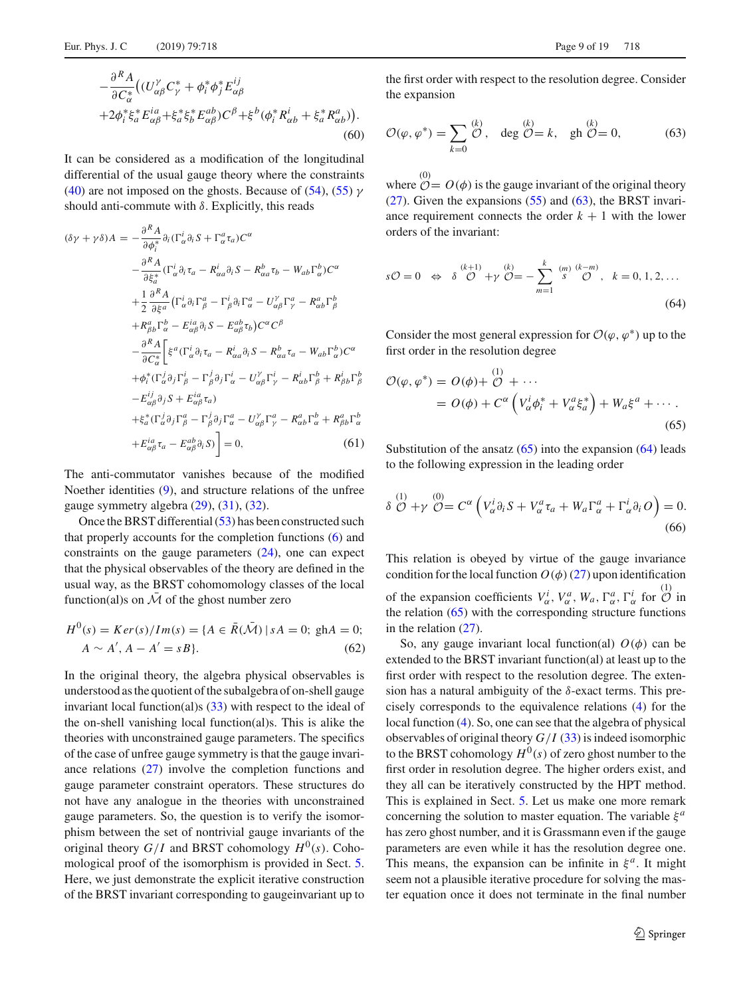It can be considered as a modification of the longitudinal differential of the usual gauge theory where the constraints [\(40\)](#page-5-2) are not imposed on the ghosts. Because of [\(54\)](#page-7-2), [\(55\)](#page-7-3)  $\gamma$ should anti-commute with  $\delta$ . Explicitly, this reads

$$
(\delta \gamma + \gamma \delta) A = -\frac{\partial^R A}{\partial \phi_i^*} \partial_i (\Gamma_\alpha^i \partial_i S + \Gamma_\alpha^a \tau_a) C^\alpha
$$
  

$$
- \frac{\partial^R A}{\partial \xi_a^*} (\Gamma_\alpha^i \partial_i \tau_a - R_{\alpha a}^i \partial_i S - R_{\alpha a}^b \tau_b - W_{ab} \Gamma_\alpha^b) C^\alpha
$$
  

$$
+ \frac{1}{2} \frac{\partial^R A}{\partial \xi^a} (\Gamma_\alpha^i \partial_i \Gamma_\beta^a - \Gamma_\beta^i \partial_i \Gamma_\alpha^a - U_{\alpha \beta}^\gamma \Gamma_\gamma^a - R_{\alpha b}^a \Gamma_\beta^b
$$
  

$$
+ R_{\beta b}^a \Gamma_\alpha^b - E_{\alpha \beta}^i \partial_i S - E_{\alpha \beta}^a \tau_b) C^\alpha C^\beta
$$
  

$$
- \frac{\partial^R A}{\partial C_\alpha^*} \left[ \xi^a (\Gamma_\alpha^i \partial_i \tau_a - R_{\alpha a}^i \partial_i S - R_{\alpha a}^b \tau_a - W_{ab} \Gamma_\alpha^b) C^\alpha
$$
  

$$
+ \phi_i^* (\Gamma_\alpha^i \partial_j \Gamma_\beta^i - \Gamma_\beta^j \partial_j \Gamma_\alpha^i - U_{\alpha \beta}^\gamma \Gamma_\gamma^i - R_{\alpha b}^i \Gamma_\beta^b + R_{\beta b}^i \Gamma_\beta^b
$$
  

$$
- E_{\alpha \beta}^{ij} \partial_j S + E_{\alpha \beta}^{ia} \tau_a)
$$
  

$$
+ \xi_a^* (\Gamma_\alpha^j \partial_j \Gamma_\beta^a - \Gamma_\beta^j \partial_j \Gamma_\alpha^a - U_{\alpha \beta}^\gamma \Gamma_\gamma^a - R_{\alpha b}^a \Gamma_\alpha^b + R_{\beta b}^a \Gamma_\alpha^b
$$
  

$$
+ E_{\alpha \beta}^{ia} \tau_a - E_{\alpha \beta}^{ab} \partial_i S) \right] = 0, \qquad (61)
$$

The anti-commutator vanishes because of the modified Noether identities [\(9\)](#page-2-2), and structure relations of the unfree gauge symmetry algebra [\(29\)](#page-4-6), [\(31\)](#page-4-1), [\(32\)](#page-4-1).

Once the BRST differential [\(53\)](#page-7-4) has been constructed such that properly accounts for the completion functions [\(6\)](#page-2-4) and constraints on the gauge parameters [\(24\)](#page-3-6), one can expect that the physical observables of the theory are defined in the usual way, as the BRST cohomomology classes of the local function(al)s on  $\overline{\mathcal{M}}$  of the ghost number zero

$$
H^{0}(s) = Ker(s)/Im(s) = \{A \in \bar{R}(\bar{\mathcal{M}}) \mid sA = 0; \text{ g}hA = 0; A \sim A', A - A' = sB\}.
$$
 (62)

In the original theory, the algebra physical observables is understood as the quotient of the subalgebra of on-shell gauge invariant local function(al)s [\(33\)](#page-4-7) with respect to the ideal of the on-shell vanishing local function(al)s. This is alike the theories with unconstrained gauge parameters. The specifics of the case of unfree gauge symmetry is that the gauge invariance relations [\(27\)](#page-3-7) involve the completion functions and gauge parameter constraint operators. These structures do not have any analogue in the theories with unconstrained gauge parameters. So, the question is to verify the isomorphism between the set of nontrivial gauge invariants of the original theory  $G/I$  and BRST cohomology  $H^0(s)$ . Cohomological proof of the isomorphism is provided in Sect. [5.](#page-11-0) Here, we just demonstrate the explicit iterative construction of the BRST invariant corresponding to gaugeinvariant up to

<span id="page-8-0"></span>the first order with respect to the resolution degree. Consider the expansion

$$
\mathcal{O}(\varphi, \varphi^*) = \sum_{k=0}^{(k)} \mathcal{O}, \quad \deg \mathcal{O} = k, \quad \text{gh } \mathcal{O} = 0,
$$
 (63)

<span id="page-8-2"></span>where  $\mathcal{O} = O(\phi)$  is the gauge invariant of the original theory  $(27)$ . Given the expansions  $(55)$  and  $(63)$ , the BRST invariance requirement connects the order  $k + 1$  with the lower orders of the invariant:

$$
s\mathcal{O} = 0 \iff \delta \stackrel{(k+1)}{\mathcal{O}} + \gamma \stackrel{(k)}{\mathcal{O}} = -\sum_{m=1}^{k} \stackrel{(m)}{s} \stackrel{(k-m)}{\mathcal{O}}, \quad k = 0, 1, 2, \dots
$$
\n(64)

Consider the most general expression for  $\mathcal{O}(\varphi, \varphi^*)$  up to the first order in the resolution degree

<span id="page-8-3"></span> $(1)$ 

<span id="page-8-1"></span>
$$
\mathcal{O}(\varphi, \varphi^*) = O(\phi) + \overset{(1)}{\mathcal{O}} + \cdots
$$
  
= 
$$
O(\phi) + C^{\alpha} \left( V_{\alpha}^i \phi_i^* + V_{\alpha}^a \xi_a^* \right) + W_a \xi^a + \cdots
$$
 (65)

Substitution of the ansatz  $(65)$  into the expansion  $(64)$  leads to the following expression in the leading order

$$
\delta \stackrel{(1)}{\mathcal{O}} + \gamma \stackrel{(0)}{\mathcal{O}} = C^{\alpha} \left( V_{\alpha}^i \partial_i S + V_{\alpha}^a \tau_a + W_a \Gamma_{\alpha}^a + \Gamma_{\alpha}^i \partial_i O \right) = 0. \tag{66}
$$

This relation is obeyed by virtue of the gauge invariance condition for the local function  $O(\phi)(27)$  $O(\phi)(27)$  upon identification of the expansion coefficients  $V^i_\alpha$ ,  $V^a_\alpha$ ,  $W_a$ ,  $\Gamma^a_\alpha$ ,  $\Gamma^i_\alpha$  for  $\overset{(1)}{\mathcal{O}}$  in the relation [\(65\)](#page-8-1) with the corresponding structure functions in the relation [\(27\)](#page-3-7).

So, any gauge invariant local function(al)  $O(\phi)$  can be extended to the BRST invariant function(al) at least up to the first order with respect to the resolution degree. The extension has a natural ambiguity of the  $\delta$ -exact terms. This precisely corresponds to the equivalence relations [\(4\)](#page-2-8) for the local function [\(4\)](#page-2-8). So, one can see that the algebra of physical observables of original theory  $G/I$  [\(33\)](#page-4-7) is indeed isomorphic to the BRST cohomology  $H^0(s)$  of zero ghost number to the first order in resolution degree. The higher orders exist, and they all can be iteratively constructed by the HPT method. This is explained in Sect. [5.](#page-11-0) Let us make one more remark concerning the solution to master equation. The variable  $\xi^a$ has zero ghost number, and it is Grassmann even if the gauge parameters are even while it has the resolution degree one. This means, the expansion can be infinite in  $\xi^a$ . It might seem not a plausible iterative procedure for solving the master equation once it does not terminate in the final number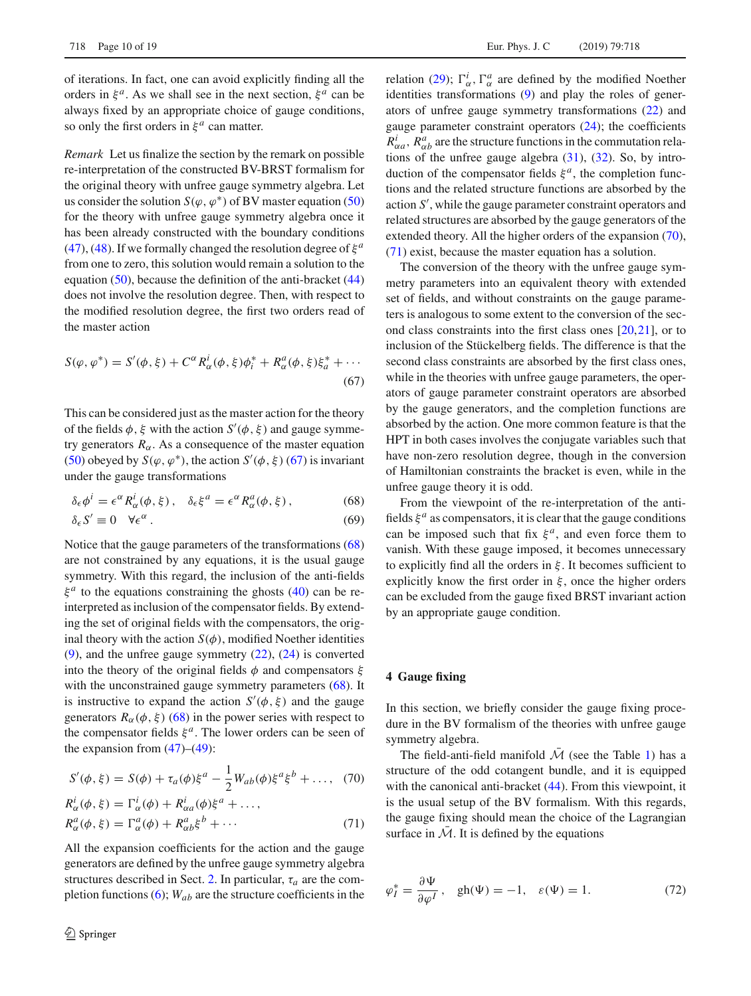of iterations. In fact, one can avoid explicitly finding all the orders in  $\xi^a$ . As we shall see in the next section,  $\xi^a$  can be always fixed by an appropriate choice of gauge conditions, so only the first orders in  $\xi^a$  can matter.

*Remark* Let us finalize the section by the remark on possible re-interpretation of the constructed BV-BRST formalism for the original theory with unfree gauge symmetry algebra. Let us consider the solution  $S(\varphi, \varphi^*)$  of BV master equation [\(50\)](#page-7-1) for the theory with unfree gauge symmetry algebra once it has been already constructed with the boundary conditions [\(47\)](#page-6-3), [\(48\)](#page-6-4). If we formally changed the resolution degree of  $\xi^a$ from one to zero, this solution would remain a solution to the equation [\(50\)](#page-7-1), because the definition of the anti-bracket [\(44\)](#page-6-5) does not involve the resolution degree. Then, with respect to the modified resolution degree, the first two orders read of the master action

<span id="page-9-1"></span>
$$
S(\varphi, \varphi^*) = S'(\phi, \xi) + C^{\alpha} R_{\alpha}^{i}(\phi, \xi) \phi_i^* + R_{\alpha}^{a}(\phi, \xi) \xi_a^* + \cdots
$$
\n(67)

This can be considered just as the master action for the theory of the fields  $\phi$ ,  $\xi$  with the action  $S'(\phi, \xi)$  and gauge symmetry generators  $R_{\alpha}$ . As a consequence of the master equation [\(50\)](#page-7-1) obeyed by  $S(\varphi, \varphi^*)$ , the action  $S'(\varphi, \xi)$  [\(67\)](#page-9-1) is invariant under the gauge transformations

<span id="page-9-2"></span>
$$
\delta_{\epsilon}\phi^{i} = \epsilon^{\alpha} R_{\alpha}^{i}(\phi, \xi), \quad \delta_{\epsilon}\xi^{a} = \epsilon^{\alpha} R_{\alpha}^{a}(\phi, \xi), \tag{68}
$$

$$
\delta_{\epsilon} S' \equiv 0 \quad \forall \epsilon^{\alpha} \,. \tag{69}
$$

Notice that the gauge parameters of the transformations [\(68\)](#page-9-2) are not constrained by any equations, it is the usual gauge symmetry. With this regard, the inclusion of the anti-fields  $\xi^a$  to the equations constraining the ghosts [\(40\)](#page-5-2) can be reinterpreted as inclusion of the compensator fields. By extending the set of original fields with the compensators, the original theory with the action  $S(\phi)$ , modified Noether identities [\(9\)](#page-2-2), and the unfree gauge symmetry [\(22\)](#page-3-5), [\(24\)](#page-3-6) is converted into the theory of the original fields  $\phi$  and compensators  $\xi$ with the unconstrained gauge symmetry parameters [\(68\)](#page-9-2). It is instructive to expand the action  $S'(\phi, \xi)$  and the gauge generators  $R_{\alpha}(\phi, \xi)$  [\(68\)](#page-9-2) in the power series with respect to the compensator fields  $\xi^a$ . The lower orders can be seen of the expansion from  $(47)$ – $(49)$ :

<span id="page-9-3"></span>
$$
S'(\phi, \xi) = S(\phi) + \tau_a(\phi)\xi^a - \frac{1}{2}W_{ab}(\phi)\xi^a\xi^b + \dots, \quad (70)
$$

$$
R_{\alpha}^{i}(\phi, \xi) = \Gamma_{\alpha}^{i}(\phi) + R_{\alpha a}^{i}(\phi)\xi^{a} + \dots,
$$
  
\n
$$
R_{\alpha}^{a}(\phi, \xi) = \Gamma_{\alpha}^{a}(\phi) + R_{\alpha b}^{a}\xi^{b} + \dots
$$
\n(71)

All the expansion coefficients for the action and the gauge generators are defined by the unfree gauge symmetry algebra structures described in Sect. [2.](#page-1-3) In particular,  $\tau_a$  are the completion functions [\(6\)](#page-2-4); *Wab* are the structure coefficients in the

relation [\(29\)](#page-4-6);  $\Gamma^i_\alpha$ ,  $\Gamma^a_\alpha$  are defined by the modified Noether identities transformations [\(9\)](#page-2-2) and play the roles of generators of unfree gauge symmetry transformations [\(22\)](#page-3-5) and gauge parameter constraint operators [\(24\)](#page-3-6); the coefficients  $R^i_{\alpha a}$ ,  $R^a_{\alpha b}$  are the structure functions in the commutation relations of the unfree gauge algebra  $(31)$ ,  $(32)$ . So, by introduction of the compensator fields  $\xi^a$ , the completion functions and the related structure functions are absorbed by the action *S* , while the gauge parameter constraint operators and related structures are absorbed by the gauge generators of the extended theory. All the higher orders of the expansion [\(70\)](#page-9-3), [\(71\)](#page-9-3) exist, because the master equation has a solution.

The conversion of the theory with the unfree gauge symmetry parameters into an equivalent theory with extended set of fields, and without constraints on the gauge parameters is analogous to some extent to the conversion of the second class constraints into the first class ones [\[20](#page-18-2)[,21](#page-18-3)], or to inclusion of the Stückelberg fields. The difference is that the second class constraints are absorbed by the first class ones, while in the theories with unfree gauge parameters, the operators of gauge parameter constraint operators are absorbed by the gauge generators, and the completion functions are absorbed by the action. One more common feature is that the HPT in both cases involves the conjugate variables such that have non-zero resolution degree, though in the conversion of Hamiltonian constraints the bracket is even, while in the unfree gauge theory it is odd.

From the viewpoint of the re-interpretation of the antifields  $\xi^a$  as compensators, it is clear that the gauge conditions can be imposed such that fix  $\xi^a$ , and even force them to vanish. With these gauge imposed, it becomes unnecessary to explicitly find all the orders in  $\xi$ . It becomes sufficient to explicitly know the first order in  $\xi$ , once the higher orders can be excluded from the gauge fixed BRST invariant action by an appropriate gauge condition.

#### <span id="page-9-0"></span>**4 Gauge fixing**

In this section, we briefly consider the gauge fixing procedure in the BV formalism of the theories with unfree gauge symmetry algebra.

The field-anti-field manifold  $\overline{\mathcal{M}}$  (see the Table [1\)](#page-6-0) has a structure of the odd cotangent bundle, and it is equipped with the canonical anti-bracket [\(44\)](#page-6-5). From this viewpoint, it is the usual setup of the BV formalism. With this regards, the gauge fixing should mean the choice of the Lagrangian surface in  $\overline{\mathcal{M}}$ . It is defined by the equations

<span id="page-9-4"></span>
$$
\varphi_I^* = \frac{\partial \Psi}{\partial \varphi^I}, \quad \text{gh}(\Psi) = -1, \quad \varepsilon(\Psi) = 1.
$$
 (72)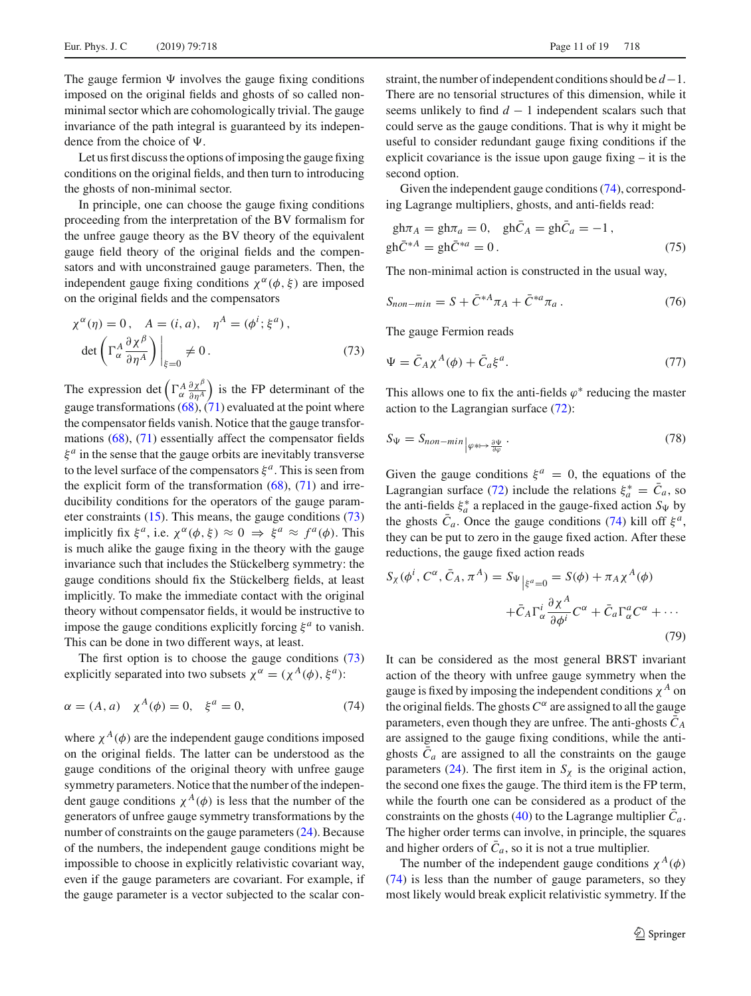The gauge fermion  $\Psi$  involves the gauge fixing conditions imposed on the original fields and ghosts of so called nonminimal sector which are cohomologically trivial. The gauge invariance of the path integral is guaranteed by its independence from the choice of  $\Psi$ .

Let us first discuss the options of imposing the gauge fixing conditions on the original fields, and then turn to introducing the ghosts of non-minimal sector.

In principle, one can choose the gauge fixing conditions proceeding from the interpretation of the BV formalism for the unfree gauge theory as the BV theory of the equivalent gauge field theory of the original fields and the compensators and with unconstrained gauge parameters. Then, the independent gauge fixing conditions  $\chi^{\alpha}(\phi, \xi)$  are imposed on the original fields and the compensators

<span id="page-10-0"></span>
$$
\chi^{\alpha}(\eta) = 0, \quad A = (i, a), \quad \eta^{A} = (\phi^{i}; \xi^{a}),
$$

$$
\det \left( \Gamma_{\alpha}^{A} \frac{\partial \chi^{\beta}}{\partial \eta^{A}} \right) \Big|_{\xi=0} \neq 0.
$$
 (73)

The expression det  $\left(\Gamma^A_{\alpha}\frac{\partial \chi^{\beta}}{\partial \eta^A}\right)$  is the FP determinant of the gauge transformations  $(68)$ ,  $(71)$  evaluated at the point where the compensator fields vanish. Notice that the gauge transformations [\(68\)](#page-9-2), [\(71\)](#page-9-3) essentially affect the compensator fields  $\xi^a$  in the sense that the gauge orbits are inevitably transverse to the level surface of the compensators  $\xi^a$ . This is seen from the explicit form of the transformation  $(68)$ ,  $(71)$  and irreducibility conditions for the operators of the gauge parameter constraints  $(15)$ . This means, the gauge conditions  $(73)$ implicitly fix  $\xi^a$ , i.e.  $\chi^{\alpha}(\phi, \xi) \approx 0 \Rightarrow \xi^a \approx f^a(\phi)$ . This is much alike the gauge fixing in the theory with the gauge invariance such that includes the Stückelberg symmetry: the gauge conditions should fix the Stückelberg fields, at least implicitly. To make the immediate contact with the original theory without compensator fields, it would be instructive to impose the gauge conditions explicitly forcing  $\xi^a$  to vanish. This can be done in two different ways, at least.

The first option is to choose the gauge conditions  $(73)$ explicitly separated into two subsets  $\chi^{\alpha} = (\chi^{A}(\phi), \xi^{a})$ :

$$
\alpha = (A, a) \quad \chi^A(\phi) = 0, \quad \xi^a = 0,
$$
\n(74)

where  $\chi^{A}(\phi)$  are the independent gauge conditions imposed on the original fields. The latter can be understood as the gauge conditions of the original theory with unfree gauge symmetry parameters. Notice that the number of the independent gauge conditions  $\chi^A(\phi)$  is less that the number of the generators of unfree gauge symmetry transformations by the number of constraints on the gauge parameters [\(24\)](#page-3-6). Because of the numbers, the independent gauge conditions might be impossible to choose in explicitly relativistic covariant way, even if the gauge parameters are covariant. For example, if the gauge parameter is a vector subjected to the scalar constraint, the number of independent conditions should be *d*−1. There are no tensorial structures of this dimension, while it seems unlikely to find  $d - 1$  independent scalars such that could serve as the gauge conditions. That is why it might be useful to consider redundant gauge fixing conditions if the explicit covariance is the issue upon gauge fixing – it is the second option.

Given the independent gauge conditions [\(74\)](#page-10-1), corresponding Lagrange multipliers, ghosts, and anti-fields read:

<span id="page-10-3"></span>
$$
gh\pi_A = gh\pi_a = 0, \quad gh\bar{C}_A = gh\bar{C}_a = -1,
$$
  
\n
$$
gh\bar{C}^{*A} = gh\bar{C}^{*a} = 0.
$$
\n(75)

The non-minimal action is constructed in the usual way,

<span id="page-10-4"></span>
$$
S_{non-min} = S + \bar{C}^{*A} \pi_A + \bar{C}^{*a} \pi_a \,. \tag{76}
$$

The gauge Fermion reads

$$
\Psi = \bar{C}_A \chi^A(\phi) + \bar{C}_a \xi^a. \tag{77}
$$

This allows one to fix the anti-fields  $\varphi^*$  reducing the master action to the Lagrangian surface [\(72\)](#page-9-4):

$$
S_{\Psi} = S_{non-min} \Big|_{\varphi * \mapsto \frac{\partial \Psi}{\partial \varphi}}.
$$
\n(78)

Given the gauge conditions  $\xi^a = 0$ , the equations of the Lagrangian surface [\(72\)](#page-9-4) include the relations  $\xi_a^* = C_a$ , so the anti-fields  $\xi_a^*$  a replaced in the gauge-fixed action  $S_\Psi$  by the ghosts  $\bar{C}_a$ . Once the gauge conditions [\(74\)](#page-10-1) kill off  $\xi^a$ , they can be put to zero in the gauge fixed action. After these reductions, the gauge fixed action reads

<span id="page-10-2"></span>
$$
S_{\chi}(\phi^i, C^{\alpha}, \bar{C}_A, \pi^A) = S_{\Psi}|_{\xi^a=0} = S(\phi) + \pi_A \chi^A(\phi)
$$

$$
+ \bar{C}_A \Gamma^i_{\alpha} \frac{\partial \chi^A}{\partial \phi^i} C^{\alpha} + \bar{C}_a \Gamma^a_{\alpha} C^{\alpha} + \cdots
$$
(79)

<span id="page-10-1"></span>It can be considered as the most general BRST invariant action of the theory with unfree gauge symmetry when the gauge is fixed by imposing the independent conditions  $\chi^A$  on the original fields. The ghosts  $C^{\alpha}$  are assigned to all the gauge parameters, even though they are unfree. The anti-ghosts  $C_A$ are assigned to the gauge fixing conditions, while the antighosts  $C_a$  are assigned to all the constraints on the gauge parameters [\(24\)](#page-3-6). The first item in  $S_\chi$  is the original action, the second one fixes the gauge. The third item is the FP term, while the fourth one can be considered as a product of the constraints on the ghosts [\(40\)](#page-5-2) to the Lagrange multiplier  $\bar{C}_a$ . The higher order terms can involve, in principle, the squares and higher orders of  $\overline{C}_a$ , so it is not a true multiplier.

The number of the independent gauge conditions  $\chi^A(\phi)$ [\(74\)](#page-10-1) is less than the number of gauge parameters, so they most likely would break explicit relativistic symmetry. If the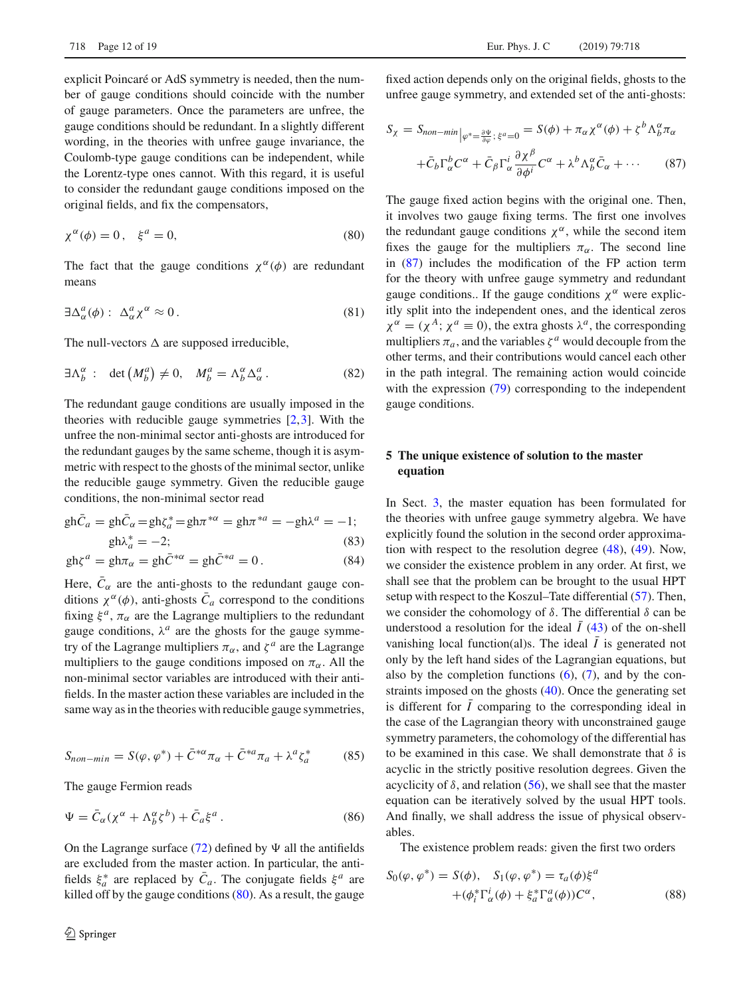explicit Poincaré or AdS symmetry is needed, then the number of gauge conditions should coincide with the number of gauge parameters. Once the parameters are unfree, the gauge conditions should be redundant. In a slightly different wording, in the theories with unfree gauge invariance, the Coulomb-type gauge conditions can be independent, while the Lorentz-type ones cannot. With this regard, it is useful to consider the redundant gauge conditions imposed on the original fields, and fix the compensators,

$$
\chi^{\alpha}(\phi) = 0, \quad \xi^{a} = 0,
$$
\n(80)

<span id="page-11-3"></span>The fact that the gauge conditions  $\chi^{\alpha}(\phi)$  are redundant means

$$
\exists \Delta^a_\alpha(\phi) : \ \Delta^a_\alpha \chi^\alpha \approx 0 \,. \tag{81}
$$

The null-vectors  $\Delta$  are supposed irreducible,

$$
\exists \Lambda_b^{\alpha} : \det \left( M_b^a \right) \neq 0, \quad M_b^a = \Lambda_b^{\alpha} \Delta_{\alpha}^a. \tag{82}
$$

The redundant gauge conditions are usually imposed in the theories with reducible gauge symmetries [\[2](#page-17-13),[3\]](#page-17-14). With the unfree the non-minimal sector anti-ghosts are introduced for the redundant gauges by the same scheme, though it is asymmetric with respect to the ghosts of the minimal sector, unlike the reducible gauge symmetry. Given the reducible gauge conditions, the non-minimal sector read

<span id="page-11-5"></span>
$$
\text{gh}\bar{C}_a = \text{gh}\bar{C}_\alpha = \text{gh}\zeta_a^* = \text{gh}\pi^{*\alpha} = \text{gh}\pi^{*a} = -\text{gh}\lambda^a = -1; \n\text{gh}\lambda_a^* = -2; \tag{83}
$$

$$
gh\zeta^{a} = gh\pi_{\alpha} = gh\bar{C}^{*\alpha} = gh\bar{C}^{*a} = 0.
$$
 (84)

Here,  $\bar{C}_{\alpha}$  are the anti-ghosts to the redundant gauge conditions  $\chi^{\alpha}(\phi)$ , anti-ghosts  $\overline{C}_a$  correspond to the conditions fixing  $\xi^a$ ,  $\pi_\alpha$  are the Lagrange multipliers to the redundant gauge conditions,  $\lambda^a$  are the ghosts for the gauge symmetry of the Lagrange multipliers  $\pi_{\alpha}$ , and  $\zeta^{a}$  are the Lagrange multipliers to the gauge conditions imposed on  $\pi_{\alpha}$ . All the non-minimal sector variables are introduced with their antifields. In the master action these variables are included in the same way as in the theories with reducible gauge symmetries,

<span id="page-11-7"></span><span id="page-11-6"></span>
$$
S_{non-min} = S(\varphi, \varphi^*) + \bar{C}^{*\alpha} \pi_\alpha + \bar{C}^{*\alpha} \pi_a + \lambda^a \zeta_a^* \tag{85}
$$

The gauge Fermion reads

$$
\Psi = \bar{C}_{\alpha}(\chi^{\alpha} + \Lambda^{\alpha}_{b}\zeta^{b}) + \bar{C}_{a}\xi^{a}.
$$
\n(86)

On the Lagrange surface [\(72\)](#page-9-4) defined by  $\Psi$  all the antifields are excluded from the master action. In particular, the antifields  $\xi_a^*$  are replaced by  $\overline{C}_a$ . The conjugate fields  $\xi^a$  are killed off by the gauge conditions  $(80)$ . As a result, the gauge

fixed action depends only on the original fields, ghosts to the unfree gauge symmetry, and extended set of the anti-ghosts:

<span id="page-11-2"></span>
$$
S_{\chi} = S_{non-min} \Big|_{\varphi^* = \frac{\partial \Psi}{\partial \varphi};\ \xi^a = 0} = S(\phi) + \pi_{\alpha} \chi^{\alpha}(\phi) + \zeta^b \Lambda_b^{\alpha} \pi_{\alpha}
$$

$$
+ \bar{C}_b \Gamma_{\alpha}^b C^{\alpha} + \bar{C}_{\beta} \Gamma_{\alpha}^i \frac{\partial \chi^{\beta}}{\partial \phi^i} C^{\alpha} + \lambda^b \Lambda_b^{\alpha} \bar{C}_{\alpha} + \cdots \qquad (87)
$$

<span id="page-11-4"></span><span id="page-11-1"></span>The gauge fixed action begins with the original one. Then, it involves two gauge fixing terms. The first one involves the redundant gauge conditions  $\chi^{\alpha}$ , while the second item fixes the gauge for the multipliers  $\pi_{\alpha}$ . The second line in [\(87\)](#page-11-2) includes the modification of the FP action term for the theory with unfree gauge symmetry and redundant gauge conditions.. If the gauge conditions  $\chi^{\alpha}$  were explicitly split into the independent ones, and the identical zeros  $\chi^{\alpha} = (\chi^{A}; \chi^{a} \equiv 0)$ , the extra ghosts  $\lambda^{a}$ , the corresponding multipliers  $\pi_a$ , and the variables  $\zeta^a$  would decouple from the other terms, and their contributions would cancel each other in the path integral. The remaining action would coincide with the expression  $(79)$  corresponding to the independent gauge conditions.

## <span id="page-11-0"></span>**5 The unique existence of solution to the master equation**

In Sect. [3,](#page-5-0) the master equation has been formulated for the theories with unfree gauge symmetry algebra. We have explicitly found the solution in the second order approximation with respect to the resolution degree [\(48\)](#page-6-4), [\(49\)](#page-6-4). Now, we consider the existence problem in any order. At first, we shall see that the problem can be brought to the usual HPT setup with respect to the Koszul–Tate differential [\(57\)](#page-7-5). Then, we consider the cohomology of  $\delta$ . The differential  $\delta$  can be understood a resolution for the ideal  $I(43)$  $I(43)$  of the on-shell vanishing local function(al)s. The ideal  $\overline{I}$  is generated not only by the left hand sides of the Lagrangian equations, but also by the completion functions  $(6)$ ,  $(7)$ , and by the constraints imposed on the ghosts [\(40\)](#page-5-2). Once the generating set is different for  $I$  comparing to the corresponding ideal in the case of the Lagrangian theory with unconstrained gauge symmetry parameters, the cohomology of the differential has to be examined in this case. We shall demonstrate that  $\delta$  is acyclic in the strictly positive resolution degrees. Given the acyclicity of  $\delta$ , and relation [\(56\)](#page-7-6), we shall see that the master equation can be iteratively solved by the usual HPT tools. And finally, we shall address the issue of physical observables.

The existence problem reads: given the first two orders

$$
S_0(\varphi, \varphi^*) = S(\varphi), \quad S_1(\varphi, \varphi^*) = \tau_a(\varphi)\xi^a
$$

$$
+ (\varphi_i^* \Gamma_\alpha^i(\varphi) + \xi_a^* \Gamma_\alpha^a(\varphi))C^\alpha,
$$
 (88)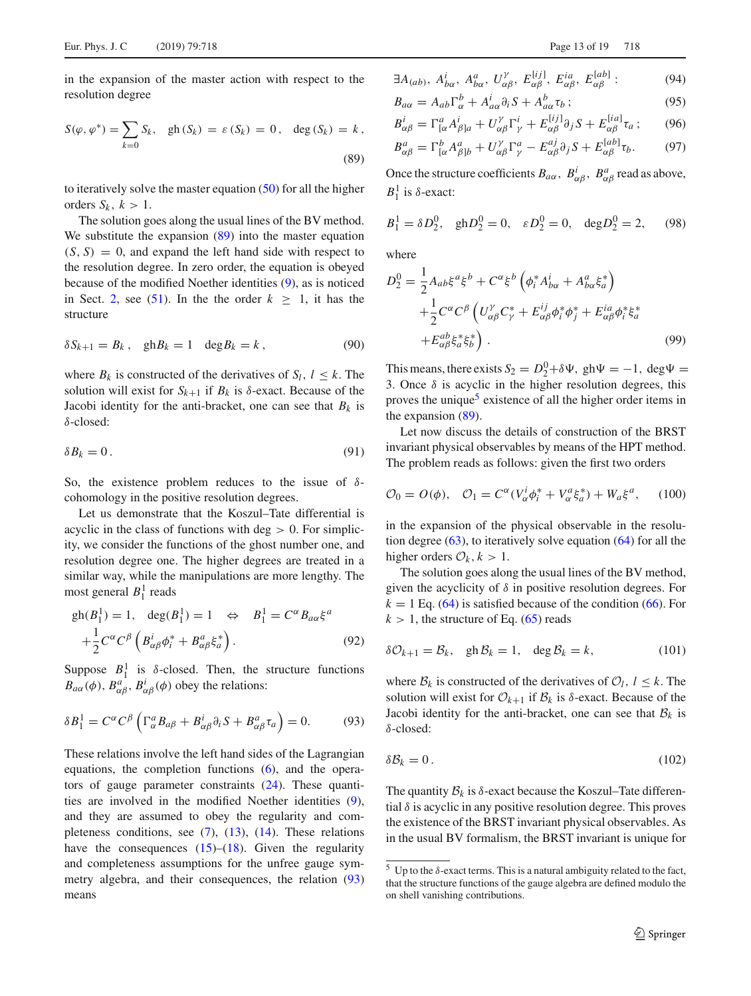<span id="page-12-0"></span>in the expansion of the master action with respect to the resolution degree

$$
S(\varphi, \varphi^*) = \sum_{k=0} S_k, \quad gh(S_k) = \varepsilon(S_k) = 0, \quad \deg(S_k) = k,
$$
\n(89)

to iteratively solve the master equation  $(50)$  for all the higher orders  $S_k$ ,  $k > 1$ .

The solution goes along the usual lines of the BV method. We substitute the expansion [\(89\)](#page-12-0) into the master equation  $(S, S) = 0$ , and expand the left hand side with respect to the resolution degree. In zero order, the equation is obeyed because of the modified Noether identities [\(9\)](#page-2-2), as is noticed in Sect. [2,](#page-1-3) see [\(51\)](#page-7-0). In the the order  $k \geq 1$ , it has the structure

$$
\delta S_{k+1} = B_k, \quad \text{gh}B_k = 1 \quad \text{deg}B_k = k \,, \tag{90}
$$

where  $B_k$  is constructed of the derivatives of  $S_l$ ,  $l \leq k$ . The solution will exist for  $S_{k+1}$  if  $B_k$  is  $\delta$ -exact. Because of the Jacobi identity for the anti-bracket, one can see that  $B_k$  is δ-closed:

$$
\delta B_k = 0. \tag{91}
$$

So, the existence problem reduces to the issue of  $\delta$ cohomology in the positive resolution degrees.

Let us demonstrate that the Koszul–Tate differential is acyclic in the class of functions with  $\text{deg} > 0$ . For simplicity, we consider the functions of the ghost number one, and resolution degree one. The higher degrees are treated in a similar way, while the manipulations are more lengthy. The most general  $B_1^1$  reads

$$
\begin{aligned} \text{gh}(B_1^1) &= 1, \quad \text{deg}(B_1^1) = 1 \quad \Leftrightarrow \quad B_1^1 = C^\alpha B_{a\alpha} \xi^a \\ &+ \frac{1}{2} C^\alpha C^\beta \left( B_{\alpha\beta}^i \phi_i^* + B_{\alpha\beta}^a \xi_a^* \right). \end{aligned} \tag{92}
$$

Suppose  $B_1^1$  is  $\delta$ -closed. Then, the structure functions  $B_{a\alpha}(\phi)$ ,  $B_{\alpha\beta}^a$ ,  $B_{\alpha\beta}^i(\phi)$  obey the relations:

$$
\delta B_1^1 = C^{\alpha} C^{\beta} \left( \Gamma^a_{\alpha} B_{\alpha\beta} + B^i_{\alpha\beta} \partial_i S + B^a_{\alpha\beta} \tau_a \right) = 0. \tag{93}
$$

These relations involve the left hand sides of the Lagrangian equations, the completion functions [\(6\)](#page-2-4), and the operators of gauge parameter constraints [\(24\)](#page-3-6). These quantities are involved in the modified Noether identities [\(9\)](#page-2-2), and they are assumed to obey the regularity and completeness conditions, see  $(7)$ ,  $(13)$ ,  $(14)$ . These relations have the consequences  $(15)$ – $(18)$ . Given the regularity and completeness assumptions for the unfree gauge symmetry algebra, and their consequences, the relation [\(93\)](#page-12-1) means

$$
\exists A_{(ab)}, \ A_{b\alpha}^i, \ A_{b\alpha}^a, \ U_{\alpha\beta}^\gamma, \ E_{\alpha\beta}^{[ij]}, \ E_{\alpha\beta}^{ia}, \ E_{\alpha\beta}^{[ab]}:
$$
 (94)

$$
B_{a\alpha} = A_{ab} \Gamma^b_{\alpha} + A^i_{a\alpha} \partial_i S + A^b_{a\alpha} \tau_b ; \qquad (95)
$$

$$
B_{\alpha\beta}^i = \Gamma_{[\alpha}^a A_{\beta]a}^i + U_{\alpha\beta}^{\gamma} \Gamma_{\gamma}^i + E_{\alpha\beta}^{[ij]} \partial_j S + E_{\alpha\beta}^{[ia]} \tau_a ; \qquad (96)
$$
  

$$
B_{\alpha\beta}^a = \Gamma_{[\alpha}^b A_{\beta]b}^a + U_{\alpha\beta}^{\gamma} \Gamma_{\gamma}^a - E_{\alpha\beta}^{aj} \partial_j S + E_{\alpha\beta}^{[ab]} \tau_b.
$$

Once the structure coefficients  $B_{a\alpha}$ ,  $B_{\alpha\beta}^i$ ,  $B_{\alpha\beta}^a$  read as above,  $B_1^1$  is  $\delta$ -exact:

$$
B_1^1 = \delta D_2^0
$$
,  $ghD_2^0 = 0$ ,  $\varepsilon D_2^0 = 0$ ,  $degD_2^0 = 2$ , (98)

where

$$
D_2^0 = \frac{1}{2} A_{ab} \xi^a \xi^b + C^\alpha \xi^b \left( \phi_i^* A_{b\alpha}^i + A_{b\alpha}^a \xi_a^* \right)
$$
  
 
$$
+ \frac{1}{2} C^\alpha C^\beta \left( U_{\alpha\beta}^\gamma C_\gamma^* + E_{\alpha\beta}^{ij} \phi_i^* \phi_j^* + E_{\alpha\beta}^{ia} \phi_i^* \xi_a^* \right)
$$
  
 
$$
+ E_{\alpha\beta}^{ab} \xi_a^* \xi_b^* \right). \tag{99}
$$

This means, there exists  $S_2 = D_2^0 + \delta \Psi$ , gh $\Psi = -1$ , deg $\Psi =$ 3. Once  $\delta$  is acyclic in the higher resolution degrees, this proves the unique<sup>5</sup> existence of all the higher order items in the expansion [\(89\)](#page-12-0).

Let now discuss the details of construction of the BRST invariant physical observables by means of the HPT method. The problem reads as follows: given the first two orders

$$
\mathcal{O}_0 = O(\phi), \quad \mathcal{O}_1 = C^{\alpha} (V_{\alpha}^i \phi_i^* + V_{\alpha}^a \xi_a^*) + W_a \xi^a, \quad (100)
$$

in the expansion of the physical observable in the resolution degree  $(63)$ , to iteratively solve equation  $(64)$  for all the higher orders  $\mathcal{O}_k$ ,  $k > 1$ .

The solution goes along the usual lines of the BV method, given the acyclicity of  $\delta$  in positive resolution degrees. For  $k = 1$  Eq. [\(64\)](#page-8-2) is satisfied because of the condition [\(66\)](#page-8-3). For  $k > 1$ , the structure of Eq. [\(65\)](#page-8-1) reads

$$
\delta \mathcal{O}_{k+1} = \mathcal{B}_k, \quad \text{gh}\,\mathcal{B}_k = 1, \quad \deg \mathcal{B}_k = k,\tag{101}
$$

<span id="page-12-1"></span>where  $B_k$  is constructed of the derivatives of  $\mathcal{O}_l$ ,  $l \leq k$ . The solution will exist for  $\mathcal{O}_{k+1}$  if  $\mathcal{B}_k$  is  $\delta$ -exact. Because of the Jacobi identity for the anti-bracket, one can see that  $B_k$  is δ-closed:

$$
\delta \mathcal{B}_k = 0. \tag{102}
$$

The quantity  $B_k$  is  $\delta$ -exact because the Koszul–Tate differential  $\delta$  is acyclic in any positive resolution degree. This proves the existence of the BRST invariant physical observables. As in the usual BV formalism, the BRST invariant is unique for

<span id="page-12-2"></span><sup>&</sup>lt;sup>5</sup> Up to the δ-exact terms. This is a natural ambiguity related to the fact, that the structure functions of the gauge algebra are defined modulo the on shell vanishing contributions.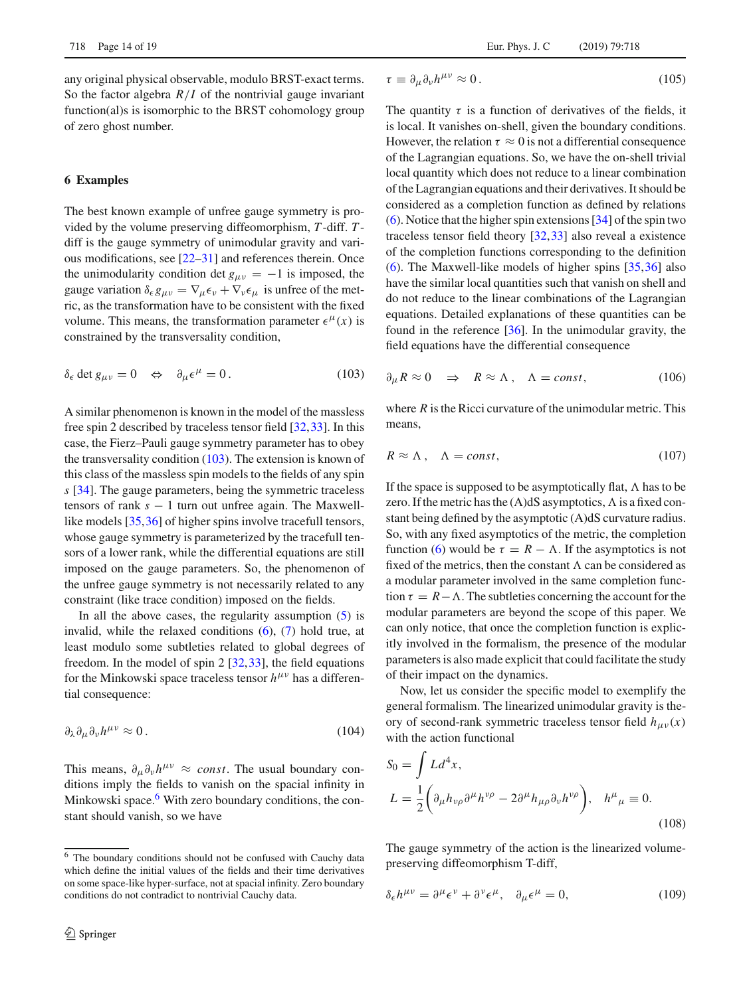any original physical observable, modulo BRST-exact terms. So the factor algebra  $R/I$  of the nontrivial gauge invariant function(al)s is isomorphic to the BRST cohomology group of zero ghost number.

## <span id="page-13-0"></span>**6 Examples**

The best known example of unfree gauge symmetry is provided by the volume preserving diffeomorphism, *T* -diff. *T* diff is the gauge symmetry of unimodular gravity and various modifications, see [\[22](#page-18-4)[–31\]](#page-18-5) and references therein. Once the unimodularity condition det  $g_{\mu\nu} = -1$  is imposed, the gauge variation  $\delta_{\epsilon}g_{\mu\nu} = \nabla_{\mu}\epsilon_{\nu} + \nabla_{\nu}\epsilon_{\mu}$  is unfree of the metric, as the transformation have to be consistent with the fixed volume. This means, the transformation parameter  $\epsilon^{\mu}(x)$  is constrained by the transversality condition,

$$
\delta_{\epsilon} \det g_{\mu\nu} = 0 \quad \Leftrightarrow \quad \partial_{\mu} \epsilon^{\mu} = 0. \tag{103}
$$

A similar phenomenon is known in the model of the massless free spin 2 described by traceless tensor field [\[32](#page-18-6)[,33](#page-18-7)]. In this case, the Fierz–Pauli gauge symmetry parameter has to obey the transversality condition  $(103)$ . The extension is known of this class of the massless spin models to the fields of any spin *s* [\[34](#page-18-8)]. The gauge parameters, being the symmetric traceless tensors of rank *s* − 1 turn out unfree again. The Maxwell-like models [\[35](#page-18-9),[36\]](#page-18-10) of higher spins involve tracefull tensors, whose gauge symmetry is parameterized by the tracefull tensors of a lower rank, while the differential equations are still imposed on the gauge parameters. So, the phenomenon of the unfree gauge symmetry is not necessarily related to any constraint (like trace condition) imposed on the fields.

In all the above cases, the regularity assumption  $(5)$  is invalid, while the relaxed conditions [\(6\)](#page-2-4), [\(7\)](#page-2-7) hold true, at least modulo some subtleties related to global degrees of freedom. In the model of spin 2 [\[32](#page-18-6)[,33](#page-18-7)], the field equations for the Minkowski space traceless tensor  $h^{\mu\nu}$  has a differential consequence:

$$
\partial_{\lambda} \partial_{\mu} \partial_{\nu} h^{\mu \nu} \approx 0. \tag{104}
$$

<span id="page-13-3"></span>This means,  $\partial_{\mu} \partial_{\nu} h^{\mu \nu} \approx const.$  The usual boundary conditions imply the fields to vanish on the spacial infinity in Minkowski space. $6$  With zero boundary conditions, the constant should vanish, so we have

$$
\tau \equiv \partial_{\mu}\partial_{\nu}h^{\mu\nu} \approx 0. \tag{105}
$$

The quantity  $\tau$  is a function of derivatives of the fields, it is local. It vanishes on-shell, given the boundary conditions. However, the relation  $\tau \approx 0$  is not a differential consequence of the Lagrangian equations. So, we have the on-shell trivial local quantity which does not reduce to a linear combination of the Lagrangian equations and their derivatives. It should be considered as a completion function as defined by relations [\(6\)](#page-2-4). Notice that the higher spin extensions [\[34](#page-18-8)] of the spin two traceless tensor field theory [\[32](#page-18-6)[,33](#page-18-7)] also reveal a existence of the completion functions corresponding to the definition [\(6\)](#page-2-4). The Maxwell-like models of higher spins [\[35](#page-18-9),[36\]](#page-18-10) also have the similar local quantities such that vanish on shell and do not reduce to the linear combinations of the Lagrangian equations. Detailed explanations of these quantities can be found in the reference [\[36](#page-18-10)]. In the unimodular gravity, the field equations have the differential consequence

<span id="page-13-1"></span>
$$
\partial_{\mu} R \approx 0 \quad \Rightarrow \quad R \approx \Lambda \,, \quad \Lambda = const, \tag{106}
$$

where *R* is the Ricci curvature of the unimodular metric. This means,

$$
R \approx \Lambda \,, \quad \Lambda = const,\tag{107}
$$

If the space is supposed to be asymptotically flat,  $\Lambda$  has to be zero. If the metric has the  $(A)dS$  asymptotics,  $\Lambda$  is a fixed constant being defined by the asymptotic (A)dS curvature radius. So, with any fixed asymptotics of the metric, the completion function [\(6\)](#page-2-4) would be  $\tau = R - \Lambda$ . If the asymptotics is not fixed of the metrics, then the constant  $\Lambda$  can be considered as a modular parameter involved in the same completion function  $\tau = R - \Lambda$ . The subtleties concerning the account for the modular parameters are beyond the scope of this paper. We can only notice, that once the completion function is explicitly involved in the formalism, the presence of the modular parameters is also made explicit that could facilitate the study of their impact on the dynamics.

Now, let us consider the specific model to exemplify the general formalism. The linearized unimodular gravity is theory of second-rank symmetric traceless tensor field  $h_{\mu\nu}(x)$ with the action functional

<span id="page-13-5"></span>
$$
S_0 = \int L d^4x,
$$
  
\n
$$
L = \frac{1}{2} \left( \partial_\mu h_{\nu\rho} \partial^\mu h^{\nu\rho} - 2 \partial^\mu h_{\mu\rho} \partial_\nu h^{\nu\rho} \right), \quad h^\mu{}_\mu \equiv 0.
$$
\n(108)

<span id="page-13-4"></span>The gauge symmetry of the action is the linearized volumepreserving diffeomorphism T-diff,

$$
\delta_{\epsilon}h^{\mu\nu} = \partial^{\mu}\epsilon^{\nu} + \partial^{\nu}\epsilon^{\mu}, \quad \partial_{\mu}\epsilon^{\mu} = 0,
$$
 (109)

<span id="page-13-2"></span><sup>6</sup> The boundary conditions should not be confused with Cauchy data which define the initial values of the fields and their time derivatives on some space-like hyper-surface, not at spacial infinity. Zero boundary conditions do not contradict to nontrivial Cauchy data.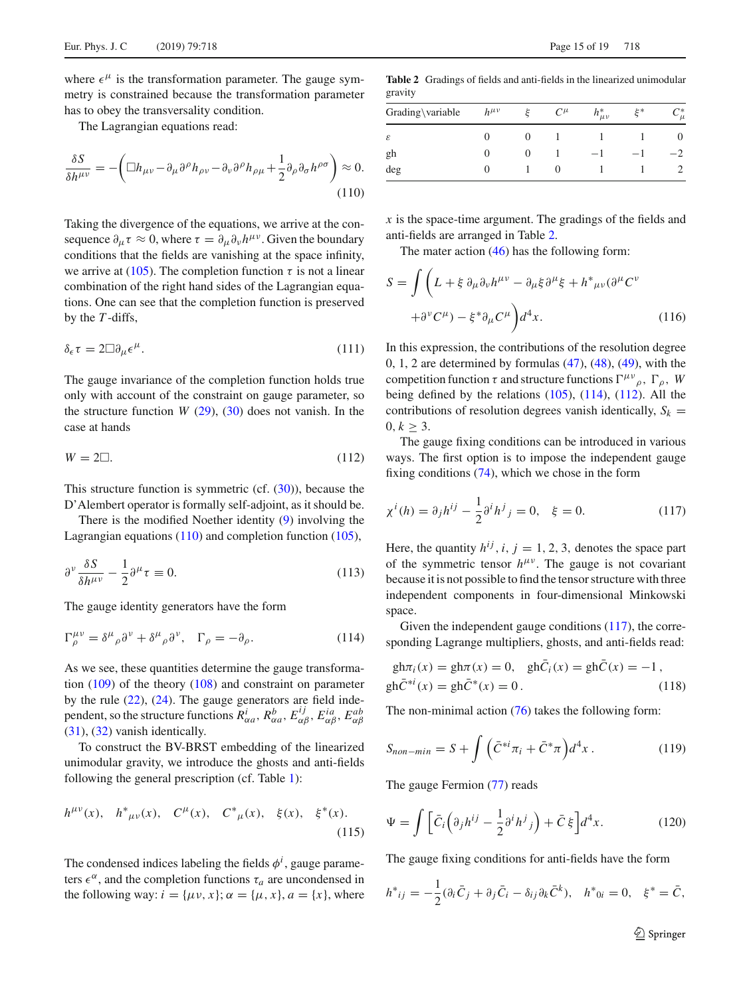where  $\epsilon^{\mu}$  is the transformation parameter. The gauge symmetry is constrained because the transformation parameter has to obey the transversality condition.

<span id="page-14-0"></span>The Lagrangian equations read:

$$
\frac{\delta S}{\delta h^{\mu\nu}} = -\left(\Box h_{\mu\nu} - \partial_{\mu}\partial^{\rho}h_{\rho\nu} - \partial_{\nu}\partial^{\rho}h_{\rho\mu} + \frac{1}{2}\partial_{\rho}\partial_{\sigma}h^{\rho\sigma}\right) \approx 0.
$$
\n(110)

Taking the divergence of the equations, we arrive at the consequence  $\partial_{\mu} \tau \approx 0$ , where  $\tau = \partial_{\mu} \partial_{\nu} h^{\mu \nu}$ . Given the boundary conditions that the fields are vanishing at the space infinity, we arrive at [\(105\)](#page-13-3). The completion function  $\tau$  is not a linear combination of the right hand sides of the Lagrangian equations. One can see that the completion function is preserved by the *T* -diffs,

$$
\delta_{\epsilon}\tau = 2\Box \partial_{\mu}\epsilon^{\mu}.
$$
 (111)

<span id="page-14-3"></span>The gauge invariance of the completion function holds true only with account of the constraint on gauge parameter, so the structure function  $W(29)$  $W(29)$ ,  $(30)$  does not vanish. In the case at hands

$$
W = 2\square. \tag{112}
$$

This structure function is symmetric (cf.  $(30)$ ), because the D'Alembert operator is formally self-adjoint, as it should be.

There is the modified Noether identity [\(9\)](#page-2-2) involving the Lagrangian equations [\(110\)](#page-14-0) and completion function [\(105\)](#page-13-3),

$$
\partial^{\nu} \frac{\delta S}{\delta h^{\mu \nu}} - \frac{1}{2} \partial^{\mu} \tau \equiv 0. \tag{113}
$$

The gauge identity generators have the form

$$
\Gamma^{\mu\nu}_{\rho} = \delta^{\mu}{}_{\rho}\partial^{\nu} + \delta^{\mu}{}_{\rho}\partial^{\nu}, \quad \Gamma_{\rho} = -\partial_{\rho}.
$$
 (114)

As we see, these quantities determine the gauge transformation [\(109\)](#page-13-4) of the theory [\(108\)](#page-13-5) and constraint on parameter by the rule [\(22\)](#page-3-5), [\(24\)](#page-3-6). The gauge generators are field independent, so the structure functions  $R^i_{\alpha a}$ ,  $R^b_{\alpha a}$ ,  $E^{ij}_{\alpha \beta}$ ,  $E^{ia}_{\alpha \beta}$ ,  $E^{ab}_{\alpha \beta}$ [\(31\)](#page-4-1), [\(32\)](#page-4-1) vanish identically.

To construct the BV-BRST embedding of the linearized unimodular gravity, we introduce the ghosts and anti-fields following the general prescription (cf. Table [1\)](#page-6-0):

$$
h^{\mu\nu}(x), h^*_{\mu\nu}(x), C^{\mu}(x), C^*_{\mu}(x), \xi(x), \xi^*(x).
$$
 (115)

The condensed indices labeling the fields  $\phi^i$ , gauge parameters  $\epsilon^{\alpha}$ , and the completion functions  $\tau_a$  are uncondensed in the following way:  $i = {\mu v, x}$ ;  $\alpha = {\mu, x}$ ,  $a = {x}$ , where

<span id="page-14-1"></span>**Table 2** Gradings of fields and anti-fields in the linearized unimodular gravity

| Grading\variable | $h^{\mu\nu}$ |              | $C^{\mu}$ | $h^*_{\mu\nu}$ | ∗خ | ~*<br>$\mu$ |
|------------------|--------------|--------------|-----------|----------------|----|-------------|
| ε                |              | 0            |           |                |    | $\theta$    |
| gh               |              | $\mathbf{0}$ |           |                |    |             |
| deg              | O            |              |           |                |    |             |

*x* is the space-time argument. The gradings of the fields and anti-fields are arranged in Table [2.](#page-14-1)

The mater action  $(46)$  has the following form:

$$
S = \int \left( L + \xi \, \partial_{\mu} \partial_{\nu} h^{\mu \nu} - \partial_{\mu} \xi \partial^{\mu} \xi + h^*_{\mu \nu} (\partial^{\mu} C^{\nu} + \partial^{\nu} C^{\mu}) - \xi^* \partial_{\mu} C^{\mu} \right) d^4 x. \tag{116}
$$

In this expression, the contributions of the resolution degree  $0, 1, 2$  are determined by formulas  $(47), (48), (49)$  $(47), (48), (49)$  $(47), (48), (49)$  $(47), (48), (49)$  $(47), (48), (49)$ , with the competition function  $\tau$  and structure functions  $\Gamma^{\mu\nu}{}_{\rho}$ ,  $\Gamma_{\rho}$ , *W* being defined by the relations  $(105)$ ,  $(114)$ ,  $(112)$ . All the contributions of resolution degrees vanish identically,  $S_k$  = 0,  $k \geq 3$ .

<span id="page-14-4"></span>The gauge fixing conditions can be introduced in various ways. The first option is to impose the independent gauge fixing conditions [\(74\)](#page-10-1), which we chose in the form

$$
\chi^{i}(h) = \partial_{j}h^{ij} - \frac{1}{2}\partial^{i}h^{j}{}_{j} = 0, \quad \xi = 0.
$$
 (117)

Here, the quantity  $h^{ij}$ ,  $i, j = 1, 2, 3$ , denotes the space part of the symmetric tensor  $h^{\mu\nu}$ . The gauge is not covariant because it is not possible to find the tensor structure with three independent components in four-dimensional Minkowski space.

<span id="page-14-2"></span>Given the independent gauge conditions [\(117\)](#page-14-4), the corresponding Lagrange multipliers, ghosts, and anti-fields read:

$$
gh\pi_i(x) = gh\pi(x) = 0, \quad ghC_i(x) = ghC(x) = -1,
$$
  
\n
$$
gh\bar{C}^{*i}(x) = gh\bar{C}^{*}(x) = 0.
$$
\n(118)

The non-minimal action [\(76\)](#page-10-3) takes the following form:

$$
S_{non-min} = S + \int \left( \bar{C}^{*i} \pi_i + \bar{C}^* \pi \right) d^4 x \,. \tag{119}
$$

The gauge Fermion [\(77\)](#page-10-4) reads

$$
\Psi = \int \left[ \bar{C}_i \left( \partial_j h^{ij} - \frac{1}{2} \partial^i h^j{}_j \right) + \bar{C} \,\xi \right] d^4 x. \tag{120}
$$

The gauge fixing conditions for anti-fields have the form

$$
h^*_{ij} = -\frac{1}{2}(\partial_i \bar{C}_j + \partial_j \bar{C}_i - \delta_{ij}\partial_k \bar{C}^k), \quad h^*_{0i} = 0, \quad \xi^* = \bar{C},
$$

<sup>2</sup> Springer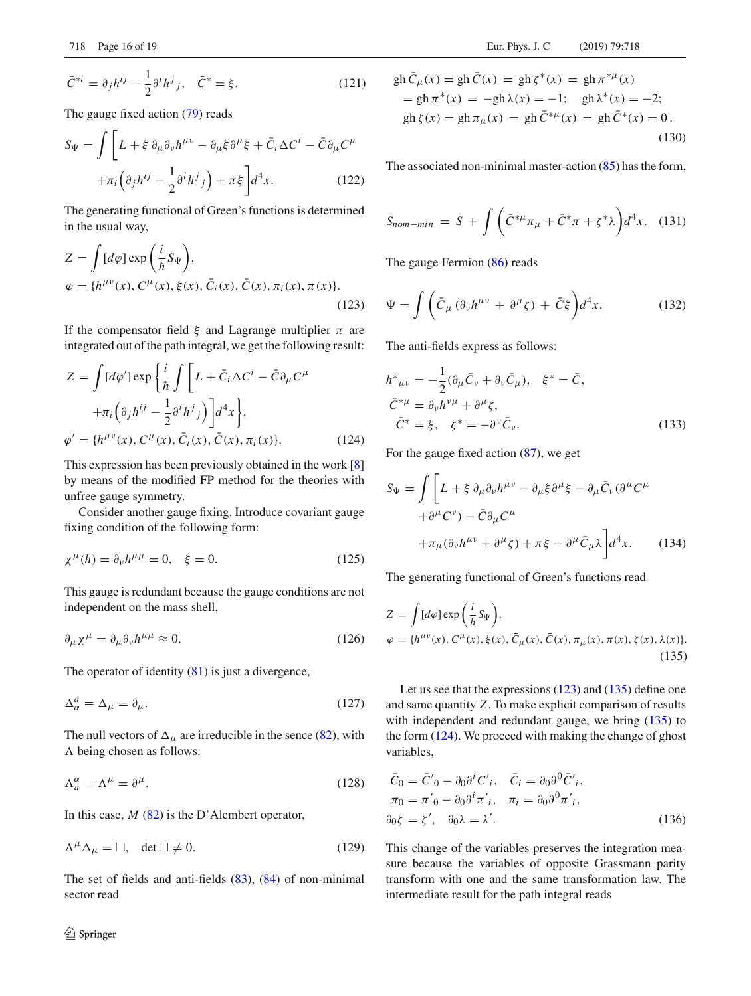$$
\bar{C}^{*i} = \partial_j h^{ij} - \frac{1}{2} \partial^i h^j{}_j, \quad \bar{C}^* = \xi. \tag{121}
$$

The gauge fixed action [\(79\)](#page-10-2) reads

$$
S_{\Psi} = \int \left[ L + \xi \, \partial_{\mu} \partial_{\nu} h^{\mu \nu} - \partial_{\mu} \xi \partial^{\mu} \xi + \bar{C}_{i} \Delta C^{i} - \bar{C} \partial_{\mu} C^{\mu} \right. \\
\left. + \pi_{i} \left( \partial_{j} h^{ij} - \frac{1}{2} \partial^{i} h^{j}{}_{j} \right) + \pi \xi \right] d^{4}x. \tag{122}
$$

The generating functional of Green's functions is determined in the usual way,

<span id="page-15-0"></span>
$$
Z = \int [d\varphi] \exp\left(\frac{i}{\hbar} S_{\Psi}\right),
$$
  
\n
$$
\varphi = \{h^{\mu\nu}(x), C^{\mu}(x), \xi(x), \bar{C}_i(x), \bar{C}(x), \pi_i(x), \pi(x)\}.
$$
\n(123)

If the compensator field  $\xi$  and Lagrange multiplier  $\pi$  are integrated out of the path integral, we get the following result:

<span id="page-15-2"></span>
$$
Z = \int [d\varphi'] \exp\left\{\frac{i}{\hbar} \int \left[L + \bar{C}_i \Delta C^i - \bar{C} \partial_\mu C^\mu \right. \right.\left. + \pi_i \left(\partial_j h^{ij} - \frac{1}{2} \partial^i h^j{}_j\right)\right] d^4 x \right\},\,
$$
  

$$
\varphi' = \{h^{\mu\nu}(x), C^\mu(x), \bar{C}_i(x), \bar{C}(x), \pi_i(x)\}.
$$
 (124)

This expression has been previously obtained in the work [\[8\]](#page-17-5) by means of the modified FP method for the theories with unfree gauge symmetry.

Consider another gauge fixing. Introduce covariant gauge fixing condition of the following form:

$$
\chi^{\mu}(h) = \partial_{\nu}h^{\mu\mu} = 0, \quad \xi = 0.
$$
 (125)

This gauge is redundant because the gauge conditions are not independent on the mass shell,

$$
\partial_{\mu} \chi^{\mu} = \partial_{\mu} \partial_{\nu} h^{\mu \mu} \approx 0. \tag{126}
$$

The operator of identity [\(81\)](#page-11-3) is just a divergence,

$$
\Delta^a_\alpha \equiv \Delta_\mu = \partial_\mu. \tag{127}
$$

The null vectors of  $\Delta_{\mu}$  are irreducible in the sence [\(82\)](#page-11-4), with  $\Lambda$  being chosen as follows:

$$
\Lambda_a^{\alpha} \equiv \Lambda^{\mu} = \partial^{\mu}.
$$
\n(128)

In this case, *M* [\(82\)](#page-11-4) is the D'Alembert operator,

$$
\Lambda^{\mu} \Delta_{\mu} = \Box, \quad \det \Box \neq 0. \tag{129}
$$

The set of fields and anti-fields [\(83\)](#page-11-5), [\(84\)](#page-11-5) of non-minimal sector read

$$
gh \bar{C}_{\mu}(x) = gh \bar{C}(x) = gh \zeta^{*}(x) = gh \pi^{*\mu}(x)
$$
  
= gh \pi^{\*}(x) = -gh \lambda(x) = -1; gh \lambda^{\*}(x) = -2;  
gh \zeta(x) = gh \pi\_{\mu}(x) = gh \bar{C}^{\*\mu}(x) = gh \bar{C}^{\*}(x) = 0. (130)

The associated non-minimal master-action [\(85\)](#page-11-6) has the form,

$$
S_{nom-min} = S + \int \left( \bar{C}^{*\mu} \pi_{\mu} + \bar{C}^{*} \pi + \zeta^{*} \lambda \right) d^{4} x. \quad (131)
$$

The gauge Fermion [\(86\)](#page-11-7) reads

$$
\Psi = \int \left( \bar{C}_{\mu} \left( \partial_{\nu} h^{\mu \nu} + \partial^{\mu} \zeta \right) + \bar{C} \xi \right) d^{4}x. \tag{132}
$$

The anti-fields express as follows:

$$
h^*_{\mu\nu} = -\frac{1}{2} (\partial_\mu \bar{C}_\nu + \partial_\nu \bar{C}_\mu), \quad \xi^* = \bar{C},
$$
  
\n
$$
\bar{C}^{*\mu} = \partial_\nu h^{\nu\mu} + \partial^\mu \zeta,
$$
  
\n
$$
\bar{C}^* = \xi, \quad \zeta^* = -\partial^\nu \bar{C}_\nu.
$$
\n(133)

For the gauge fixed action [\(87\)](#page-11-2), we get

$$
S_{\Psi} = \int \left[ L + \xi \, \partial_{\mu} \partial_{\nu} h^{\mu \nu} - \partial_{\mu} \xi \partial^{\mu} \xi - \partial_{\mu} \bar{C}_{\nu} (\partial^{\mu} C^{\mu} + \partial^{\mu} C^{\nu}) - \bar{C} \partial_{\mu} C^{\mu} + \pi_{\mu} (\partial_{\nu} h^{\mu \nu} + \partial^{\mu} \zeta) + \pi \xi - \partial^{\mu} \bar{C}_{\mu} \lambda \right] d^{4}x.
$$
 (134)

The generating functional of Green's functions read

<span id="page-15-1"></span>
$$
Z = \int [d\varphi] \exp\left(\frac{i}{\hbar} S_{\Psi}\right),
$$
  
\n
$$
\varphi = \{h^{\mu\nu}(x), C^{\mu}(x), \xi(x), \bar{C}_{\mu}(x), \bar{C}(x), \pi_{\mu}(x), \pi(x), \zeta(x), \lambda(x)\}.
$$
\n(135)

Let us see that the expressions [\(123\)](#page-15-0) and [\(135\)](#page-15-1) define one and same quantity *Z*. To make explicit comparison of results with independent and redundant gauge, we bring [\(135\)](#page-15-1) to the form [\(124\)](#page-15-2). We proceed with making the change of ghost variables,

$$
\begin{aligned}\n\bar{C}_0 &= \bar{C}'_0 - \partial_0 \partial^i C'_i, & \bar{C}_i &= \partial_0 \partial^0 \bar{C}'_i, \\
\pi_0 &= \pi'_0 - \partial_0 \partial^i \pi'_i, & \pi_i &= \partial_0 \partial^0 \pi'_i, \\
\partial_0 \zeta &= \zeta', & \partial_0 \lambda &= \lambda'.\n\end{aligned} \tag{136}
$$

This change of the variables preserves the integration measure because the variables of opposite Grassmann parity transform with one and the same transformation law. The intermediate result for the path integral reads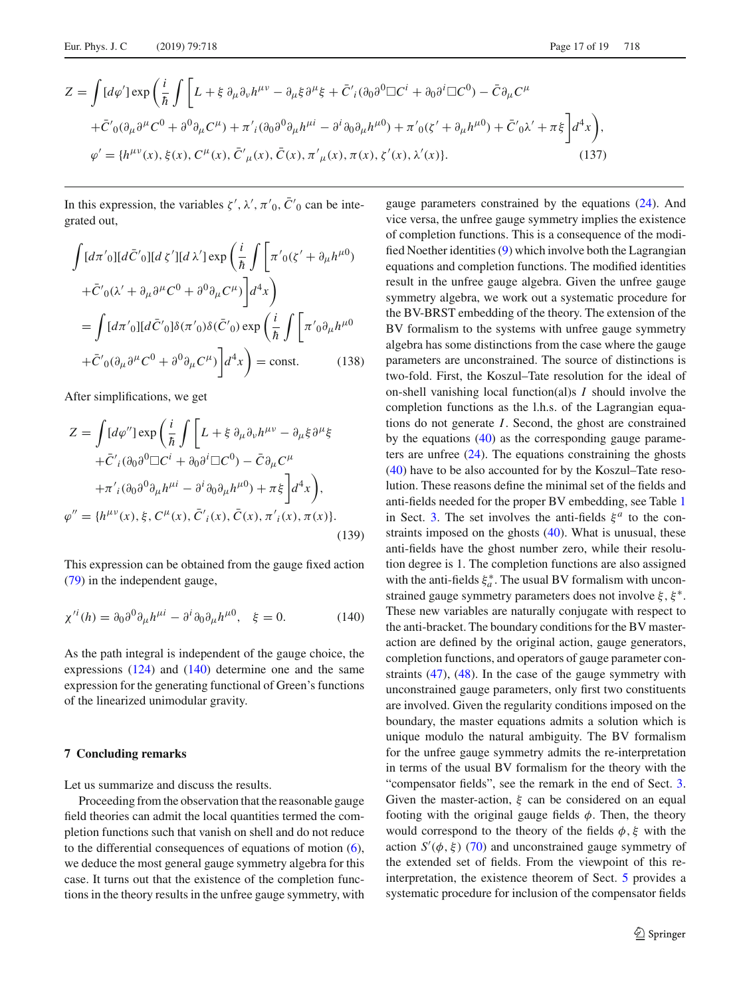$$
Z = \int [d\varphi'] \exp\left(\frac{i}{\hbar} \int \left[L + \xi \partial_{\mu}\partial_{\nu}h^{\mu\nu} - \partial_{\mu}\xi\partial^{\mu}\xi + \bar{C}'_{i}(\partial_{0}\partial^{0}\Box C^{i} + \partial_{0}\partial^{i}\Box C^{0}) - \bar{C}\partial_{\mu}C^{\mu}\right] + \bar{C}'_{0}(\partial_{\mu}\partial^{\mu}C^{0} + \partial^{0}\partial_{\mu}C^{\mu}) + \pi'_{i}(\partial_{0}\partial^{0}\partial_{\mu}h^{\mu i} - \partial^{i}\partial_{0}\partial_{\mu}h^{\mu 0}) + \pi'_{0}(\xi' + \partial_{\mu}h^{\mu 0}) + \bar{C}'_{0}\lambda' + \pi\xi\right]d^{4}x\right),
$$
  

$$
\varphi' = \{h^{\mu\nu}(x), \xi(x), C^{\mu}(x), \bar{C}'_{\mu}(x), \bar{C}(x), \pi'_{\mu}(x), \pi(x), \xi'(x), \lambda'(x)\}.
$$
 (137)

In this expression, the variables  $\zeta'$ ,  $\lambda'$ ,  $\pi'$ <sub>0</sub>,  $C'$ <sub>0</sub> can be integrated out,

$$
\int [d\pi'_{0}][d\bar{C}'_{0}][d\zeta'][d\lambda'] \exp\left(\frac{i}{\hbar} \int \left[\pi'_{0}(\zeta' + \partial_{\mu}h^{\mu 0})\right] d\zeta'_{0} + \bar{C}'_{0}(\lambda' + \partial_{\mu}\partial^{\mu}C^{0} + \partial^{0}\partial_{\mu}C^{\mu})\right] d^{4}x\right)
$$

$$
= \int [d\pi'_{0}][d\bar{C}'_{0}]\delta(\pi'_{0})\delta(\bar{C}'_{0}) \exp\left(\frac{i}{\hbar} \int \left[\pi'_{0}\partial_{\mu}h^{\mu 0}\right] d\zeta'_{0} + \bar{C}'_{0}(\partial_{\mu}\partial^{\mu}C^{0} + \partial^{0}\partial_{\mu}C^{\mu})\right] d^{4}x\right) = \text{const.} \qquad (138)
$$

After simplifications, we get

$$
Z = \int [d\varphi''] \exp\left(\frac{i}{\hbar} \int \left[L + \xi \partial_{\mu} \partial_{\nu} h^{\mu\nu} - \partial_{\mu} \xi \partial^{\mu} \xi \right] \right.
$$
  
 
$$
+ \bar{C}'_{i} (\partial_{0} \partial^{0} \Box C^{i} + \partial_{0} \partial^{i} \Box C^{0}) - \bar{C} \partial_{\mu} C^{\mu}
$$
  
 
$$
+ \pi'_{i} (\partial_{0} \partial^{0} \partial_{\mu} h^{\mu i} - \partial^{i} \partial_{0} \partial_{\mu} h^{\mu 0}) + \pi \xi \Big] d^{4}x \Big),
$$
  
 
$$
\varphi'' = \{h^{\mu\nu}(x), \xi, C^{\mu}(x), \bar{C}'_{i}(x), \bar{C}(x), \pi'_{i}(x), \pi(x)\}.
$$
 (139)

<span id="page-16-1"></span>This expression can be obtained from the gauge fixed action [\(79\)](#page-10-2) in the independent gauge,

$$
\chi^{\prime i}(h) = \partial_0 \partial^0 \partial_\mu h^{\mu i} - \partial^i \partial_0 \partial_\mu h^{\mu 0}, \quad \xi = 0. \tag{140}
$$

As the path integral is independent of the gauge choice, the expressions  $(124)$  and  $(140)$  determine one and the same expression for the generating functional of Green's functions of the linearized unimodular gravity.

## <span id="page-16-0"></span>**7 Concluding remarks**

Let us summarize and discuss the results.

Proceeding from the observation that the reasonable gauge field theories can admit the local quantities termed the completion functions such that vanish on shell and do not reduce to the differential consequences of equations of motion  $(6)$ , we deduce the most general gauge symmetry algebra for this case. It turns out that the existence of the completion functions in the theory results in the unfree gauge symmetry, with gauge parameters constrained by the equations [\(24\)](#page-3-6). And vice versa, the unfree gauge symmetry implies the existence of completion functions. This is a consequence of the modified Noether identities [\(9\)](#page-2-2) which involve both the Lagrangian equations and completion functions. The modified identities result in the unfree gauge algebra. Given the unfree gauge symmetry algebra, we work out a systematic procedure for the BV-BRST embedding of the theory. The extension of the BV formalism to the systems with unfree gauge symmetry algebra has some distinctions from the case where the gauge parameters are unconstrained. The source of distinctions is two-fold. First, the Koszul–Tate resolution for the ideal of on-shell vanishing local function(al)s *I* should involve the completion functions as the l.h.s. of the Lagrangian equations do not generate *I*. Second, the ghost are constrained by the equations [\(40\)](#page-5-2) as the corresponding gauge parameters are unfree  $(24)$ . The equations constraining the ghosts [\(40\)](#page-5-2) have to be also accounted for by the Koszul–Tate resolution. These reasons define the minimal set of the fields and anti-fields needed for the proper BV embedding, see Table [1](#page-6-0) in Sect. [3.](#page-5-0) The set involves the anti-fields  $\xi^a$  to the constraints imposed on the ghosts [\(40\)](#page-5-2). What is unusual, these anti-fields have the ghost number zero, while their resolution degree is 1. The completion functions are also assigned with the anti-fields  $\xi_a^*$ . The usual BV formalism with unconstrained gauge symmetry parameters does not involve  $\xi, \xi^*$ . These new variables are naturally conjugate with respect to the anti-bracket. The boundary conditions for the BV masteraction are defined by the original action, gauge generators, completion functions, and operators of gauge parameter constraints [\(47\)](#page-6-3), [\(48\)](#page-6-4). In the case of the gauge symmetry with unconstrained gauge parameters, only first two constituents are involved. Given the regularity conditions imposed on the boundary, the master equations admits a solution which is unique modulo the natural ambiguity. The BV formalism for the unfree gauge symmetry admits the re-interpretation in terms of the usual BV formalism for the theory with the "compensator fields", see the remark in the end of Sect. [3.](#page-5-0) Given the master-action,  $\xi$  can be considered on an equal footing with the original gauge fields  $\phi$ . Then, the theory would correspond to the theory of the fields  $\phi$ ,  $\xi$  with the action  $S'(\phi, \xi)$  [\(70\)](#page-9-3) and unconstrained gauge symmetry of the extended set of fields. From the viewpoint of this reinterpretation, the existence theorem of Sect. [5](#page-11-0) provides a systematic procedure for inclusion of the compensator fields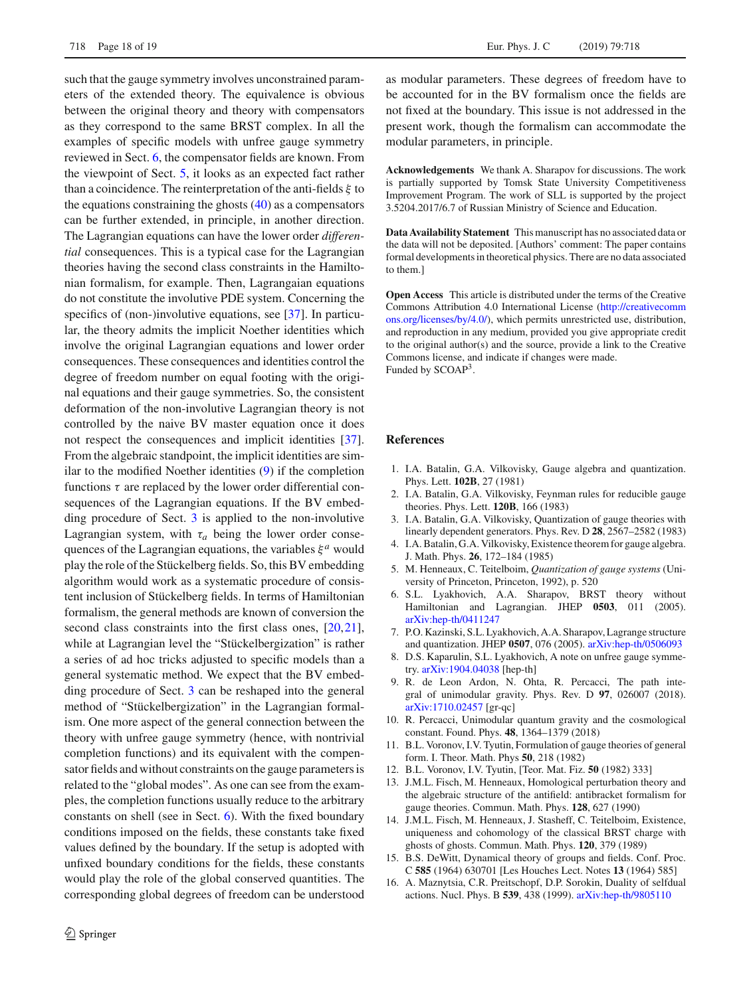such that the gauge symmetry involves unconstrained parameters of the extended theory. The equivalence is obvious between the original theory and theory with compensators as they correspond to the same BRST complex. In all the examples of specific models with unfree gauge symmetry reviewed in Sect. [6,](#page-13-0) the compensator fields are known. From the viewpoint of Sect. [5,](#page-11-0) it looks as an expected fact rather than a coincidence. The reinterpretation of the anti-fields  $\xi$  to the equations constraining the ghosts  $(40)$  as a compensators can be further extended, in principle, in another direction. The Lagrangian equations can have the lower order *differential* consequences. This is a typical case for the Lagrangian theories having the second class constraints in the Hamiltonian formalism, for example. Then, Lagrangaian equations do not constitute the involutive PDE system. Concerning the specifics of (non-)involutive equations, see [\[37\]](#page-18-11). In particular, the theory admits the implicit Noether identities which involve the original Lagrangian equations and lower order consequences. These consequences and identities control the degree of freedom number on equal footing with the original equations and their gauge symmetries. So, the consistent deformation of the non-involutive Lagrangian theory is not controlled by the naive BV master equation once it does not respect the consequences and implicit identities [\[37](#page-18-11)]. From the algebraic standpoint, the implicit identities are similar to the modified Noether identities [\(9\)](#page-2-2) if the completion functions  $\tau$  are replaced by the lower order differential consequences of the Lagrangian equations. If the BV embedding procedure of Sect. [3](#page-5-0) is applied to the non-involutive Lagrangian system, with  $\tau_a$  being the lower order consequences of the Lagrangian equations, the variables  $\xi^a$  would play the role of the Stückelberg fields. So, this BV embedding algorithm would work as a systematic procedure of consistent inclusion of Stückelberg fields. In terms of Hamiltonian formalism, the general methods are known of conversion the second class constraints into the first class ones, [\[20](#page-18-2)[,21](#page-18-3)], while at Lagrangian level the "Stückelbergization" is rather a series of ad hoc tricks adjusted to specific models than a general systematic method. We expect that the BV embedding procedure of Sect. [3](#page-5-0) can be reshaped into the general method of "Stückelbergization" in the Lagrangian formalism. One more aspect of the general connection between the theory with unfree gauge symmetry (hence, with nontrivial completion functions) and its equivalent with the compensator fields and without constraints on the gauge parameters is related to the "global modes". As one can see from the examples, the completion functions usually reduce to the arbitrary constants on shell (see in Sect. [6\)](#page-13-0). With the fixed boundary conditions imposed on the fields, these constants take fixed values defined by the boundary. If the setup is adopted with unfixed boundary conditions for the fields, these constants would play the role of the global conserved quantities. The corresponding global degrees of freedom can be understood

as modular parameters. These degrees of freedom have to be accounted for in the BV formalism once the fields are not fixed at the boundary. This issue is not addressed in the present work, though the formalism can accommodate the modular parameters, in principle.

**Acknowledgements** We thank A. Sharapov for discussions. The work is partially supported by Tomsk State University Competitiveness Improvement Program. The work of SLL is supported by the project 3.5204.2017/6.7 of Russian Ministry of Science and Education.

**Data Availability Statement** This manuscript has no associated data or the data will not be deposited. [Authors' comment: The paper contains formal developments in theoretical physics. There are no data associated to them.]

**Open Access** This article is distributed under the terms of the Creative Commons Attribution 4.0 International License [\(http://creativecomm](http://creativecommons.org/licenses/by/4.0/) [ons.org/licenses/by/4.0/\)](http://creativecommons.org/licenses/by/4.0/), which permits unrestricted use, distribution, and reproduction in any medium, provided you give appropriate credit to the original author(s) and the source, provide a link to the Creative Commons license, and indicate if changes were made. Funded by SCOAP3.

#### **References**

- <span id="page-17-0"></span>1. I.A. Batalin, G.A. Vilkovisky, Gauge algebra and quantization. Phys. Lett. **102B**, 27 (1981)
- <span id="page-17-13"></span>2. I.A. Batalin, G.A. Vilkovisky, Feynman rules for reducible gauge theories. Phys. Lett. **120B**, 166 (1983)
- <span id="page-17-14"></span>3. I.A. Batalin, G.A. Vilkovisky, Quantization of gauge theories with linearly dependent generators. Phys. Rev. D **28**, 2567–2582 (1983)
- <span id="page-17-1"></span>4. I.A. Batalin, G.A. Vilkovisky, Existence theorem for gauge algebra. J. Math. Phys. **26**, 172–184 (1985)
- <span id="page-17-2"></span>5. M. Henneaux, C. Teitelboim, *Quantization of gauge systems* (University of Princeton, Princeton, 1992), p. 520
- <span id="page-17-3"></span>6. S.L. Lyakhovich, A.A. Sharapov, BRST theory without Hamiltonian and Lagrangian. JHEP **0503**, 011 (2005). [arXiv:hep-th/0411247](http://arxiv.org/abs/hep-th/0411247)
- <span id="page-17-4"></span>7. P.O. Kazinski, S.L. Lyakhovich, A.A. Sharapov, Lagrange structure and quantization. JHEP **0507**, 076 (2005). [arXiv:hep-th/0506093](http://arxiv.org/abs/hep-th/0506093)
- <span id="page-17-5"></span>8. D.S. Kaparulin, S.L. Lyakhovich, A note on unfree gauge symmetry. [arXiv:1904.04038](http://arxiv.org/abs/1904.04038) [hep-th]
- <span id="page-17-6"></span>9. R. de Leon Ardon, N. Ohta, R. Percacci, The path integral of unimodular gravity. Phys. Rev. D **97**, 026007 (2018). [arXiv:1710.02457](http://arxiv.org/abs/1710.02457) [gr-qc]
- <span id="page-17-7"></span>10. R. Percacci, Unimodular quantum gravity and the cosmological constant. Found. Phys. **48**, 1364–1379 (2018)
- <span id="page-17-8"></span>11. B.L. Voronov, I.V. Tyutin, Formulation of gauge theories of general form. I. Theor. Math. Phys **50**, 218 (1982)
- <span id="page-17-9"></span>12. B.L. Voronov, I.V. Tyutin, [Teor. Mat. Fiz. **50** (1982) 333]
- <span id="page-17-10"></span>13. J.M.L. Fisch, M. Henneaux, Homological perturbation theory and the algebraic structure of the antifield: antibracket formalism for gauge theories. Commun. Math. Phys. **128**, 627 (1990)
- <span id="page-17-11"></span>14. J.M.L. Fisch, M. Henneaux, J. Stasheff, C. Teitelboim, Existence, uniqueness and cohomology of the classical BRST charge with ghosts of ghosts. Commun. Math. Phys. **120**, 379 (1989)
- <span id="page-17-12"></span>15. B.S. DeWitt, Dynamical theory of groups and fields. Conf. Proc. C **585** (1964) 630701 [Les Houches Lect. Notes **13** (1964) 585]
- <span id="page-17-15"></span>16. A. Maznytsia, C.R. Preitschopf, D.P. Sorokin, Duality of selfdual actions. Nucl. Phys. B **539**, 438 (1999). [arXiv:hep-th/9805110](http://arxiv.org/abs/hep-th/9805110)